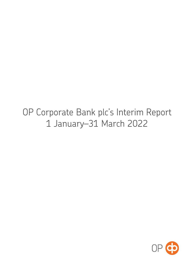# OP Corporate Bank plc's Interim Report 1 January-31 March 2022

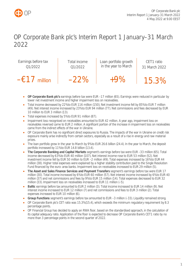

## OP Corporate Bank plc's Interim Report 1 January–31 March 2022



- **OP Corporate Bank plc's** earnings before tax were EUR –17 million (65). Earnings were reduced in particular by lower net investment income and higher impairment loss on receivables.
- Total income decreased by 22% to EUR 116 million (150). Net investment income fell by 85% to EUR 7 million (49). Net interest income increased by 23% to EUR 94 million (77). Net commissions and fees decreased by EUR 10 million to EUR 3 million (13).
- Total expenses increased by 5% to EUR 91 million (87).
- Impairment loss recognised on receivables amounted to EUR 42 million. A year ago, impairment loss on receivables reversed came to EUR 2 million. A significant portion of the increase in impairment loss on receivables came from the indirect effects of the war in Ukraine.
- OP Corporate Bank has no significant direct exposures to Russia. The impacts of the war in Ukraine on credit risk exposure mainly arise indirectly from certain sectors, especially as a result of a rise in energy and raw material prices.
- The loan portfolio grew in the year to March by 9% to EUR 26.6 billion (24.4). In the year to March, the deposit portfolio increased by 11% to EUR 14.8 billion (13.4).
- **The Corporate Banking and Capital Markets** segment's earnings before tax were EUR –33 million (65). Total income decreased by 63% to EUR 40 million (107). Net interest income rose to EUR 53 million (52). Net investment income fell by EUR 50 million to EUR –2 million (49). Total expenses increased by 16% to EUR 44 million (38). Higher total expenses were explained by a higher stability contribution paid to the Single Resolution Fund financed by the euro-area banks. Impairment loss on receivables increased to EUR 29 million (5).
- **The Asset and Sales Finance Services and Payment Transfers** segment's earnings before tax were EUR 17 million (30). Total income increased by 6% to EUR 60 million (57). Net interest income increased by 6% to EUR 40 million (37) and net commissions and fees by 9% to EUR 15 million (14). Total expenses decreased to EUR 32 million (33). Impairment loss on receivables increased to EUR 11 million (–5).
- **Baltic** earnings before tax amounted to EUR 2 million (3). Total income increased to EUR 14 million (9). Net interest income increased to EUR 12 million (7) and net commissions and fees to EUR 3 million (2). Total expenses increased to EUR 10 million (6).
- **Group Functions** segment's earnings before tax amounted to EUR –3 million (–33). Liquidity remained strong.
- OP Corporate Bank plc's CET ratio was 15.3% (15.4), which exceeds the minimum regulatory requirement by 8.3 percentage points.
- OP Financial Group has decided to apply an RWA floor, based on the standardised approach, in the calculation of its capital adequacy ratio. Application of the floor is expected to decrease OP Corporate Bank's CET1 ratio by no more than 3 percentage points in the second quarter of 2022.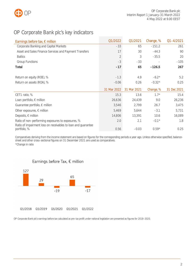

## <span id="page-2-0"></span>OP Corporate Bank plc's key indicators

| Earnings before tax, $\epsilon$ million                       | Q1/2022        | Q1/2021     | Change, % | $Q1 - 4/2021$ |
|---------------------------------------------------------------|----------------|-------------|-----------|---------------|
| Corporate Banking and Capital Markets                         | $-33$          | 65          | $-151.2$  | 261           |
| Asset and Sales Finance Services and Payment Transfers        | 17             | 30          | $-44.3$   | 90            |
| <b>Baltics</b>                                                | $\overline{2}$ | 3           | $-35.5$   | 20            |
| <b>Group Functions</b>                                        | $-3$           | $-33$       |           | $-105$        |
| <b>Total</b>                                                  | $-17$          | 65          | $-126.5$  | 267           |
| Return on equity (ROE), %                                     | $-1.3$         | 4.9         | $-6.2*$   | 5.2           |
| Return on assets (ROA), %                                     | $-0.06$        | 0.26        | $-0.32*$  | 0.25          |
|                                                               | 31 Mar 2022    | 31 Mar 2021 | Change, % | 31 Dec 2021   |
| CET1 ratio, %                                                 | 15.3           | 13.6        | $1.7*$    | 15.4          |
| Loan portfolio, $\epsilon$ million                            | 26,636         | 24,439      | 9.0       | 26,236        |
| Guarantee portfolio, $\in$ million                            | 3,546          | 2,799       | 26.7      | 3,475         |
| Other exposures, $\epsilon$ million                           | 5,469          | 5,644       | $-3.1$    | 5,731         |
| Deposits, $\epsilon$ million                                  | 14,806         | 13,391      | 10.6      | 16,089        |
| Ratio of non-performing exposures to exposures, %             | 2.0            | 2.1         | $-0.1*$   | 1.8           |
| Ratio of impairment loss on receivables to loan and guarantee |                |             |           |               |

Comparatives deriving from the income statement are based on figures for the corresponding periods a year ago. Unless otherwise specified, balancesheet and other cross-sectional figures on 31 December 2021 are used as comparatives. \*Change in ratio



OP Corporate Bank plc's earnings before tax calculated as pre-tax profit under national legislation are presented as figures for 2018–2020.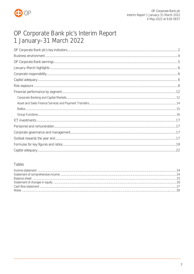

## OP Corporate Bank plc's Interim Report 1 January-31 March 2022

## Tables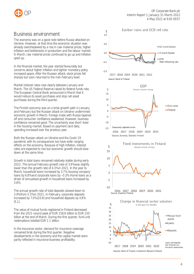



## <span id="page-4-0"></span>Business environment

The economy was on a good note before Russia attacked on Ukraine. However, at that time the economic situation was already overshadowed by a rise in raw material prices, higher inflation and bottlenecks in production and the labour market. In March, raw material prices continued to go up and inflation sped up.

In the financial market, the year started favourably but concerns about higher inflation and tighter monetary policy increased apace. After the Russian attack, stock prices fell sharply but soon returned to the mid-February level.

Market interest rates rose clearly between January and March. The US Federal Reserve raised its federal funds rate. The European Central Bank announced in March that it would reduce its asset purchases and stop net asset purchases during the third quarter.

The Finnish economy was on a brisk growth path in January and February but the Russian attack on Ukraine undermined economic growth in March. Foreign trade with Russia tapered off and consumer confidence weakened. However, business confidence remained good. The uncertainty was short-lived in the housing market. Based on payment card data, spending increased over the previous year.

Both the Russian attack on Ukraine and the Covid-19 pandemic with its consequences too have wide-ranging effects on the economy. Because of high inflation, interest rates are expected to rise but economic growth should slow down at the same time.

Growth in total loans remained relatively stable during early 2022. The annual February growth rate of 3.9% was slightly lower than the growth rate of 4.3% in 2021. In the year to March, household loans increased by 3.7%, housing company loans by 6.8% and corporate loans by –0.3%. Home loans as a driver of annualised growth in household loans increased by 3.8%.

The annual growth rate of total deposits slowed down to 3.9% from 5.3% in 2021. In February, corporate deposits increased by 7.0% (10.9) and household deposits by 4.8% (5.1).

The value of mutual funds registered in Finland decreased from the 2021 record peak of EUR 158.8 billion to EUR 150 billion at the end of March. During the first quarter, fund unit redemptions totalled EUR 1.1 billion.

In the insurance sector, demand for insurance coverage remained brisk during the first quarter. Negative developments in the economy and the capital market were partly reflected in insurance business profitability.

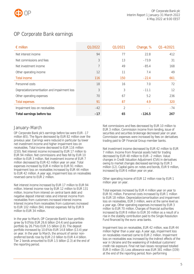

## <span id="page-5-0"></span>OP Corporate Bank earnings

| $\epsilon$ million                            | Q1/2022 | Q1/2021 | Change, % | $Q1 - 4/2021$ |
|-----------------------------------------------|---------|---------|-----------|---------------|
| Net interest income                           | 94      | 77      | 22.8      | 412           |
| Net commissions and fees                      | 3       | 13      | $-73.9$   | 31            |
| Net investment income                         | 7       | 49      | $-85.4$   | 168           |
| Other operating income                        | 12      | 11      | 7.4       | 49            |
| <b>Total income</b>                           | 116     | 150     | $-22.4$   | 661           |
| Personnel costs                               | 18      | 16      | 7.0       | 72            |
| Depreciation/amortisation and impairment loss | 3       | 3       | $-11.1$   | 12            |
| Other operating expenses                      | 70      | 67      | 5.2       | 236           |
| <b>Total expenses</b>                         | 91      | 87      | 4.9       | 320           |
| Impairment loss on receivables                | $-42$   | 2       |           | $-74$         |
| Total earnings before tax                     | $-17$   | 65      | $-126.5$  | 267           |

## January–March

OP Corporate Bank plc's earnings before tax were EUR -17 million (65). The figure decreased by EUR 82 million over the previous year. Earnings were reduced in particular by lower net investment income and higher impairment loss on receivables. Total income decreased to EUR 116 million (150). Net interest income increased by EUR 17 million to EUR 94 million. Net commissions and fees fell by EUR 10 million to EUR 3 million. Net investment income of EUR 7 million decreased by EUR 42 million year on year. Total expenses increased by EUR 4 million to EUR 91 million. Impairment loss on receivables increased by EUR 44 million to EUR 42 million. A year ago, impairment loss on receivables reversed came to EUR 2 million.

Net interest income increased by EUR 17 million to EUR 94 million. Interest income rose by EUR 12 million to EUR 131 million. Income from interest on central bank debt and negative deposit interest rates and interest income from receivables from customers increased interest income. Interest income from receivables from customers increased to EUR 102 million (94). Interest expenses fell by EUR 9 million to EUR 34 million.

In the year to March, OP Corporate Bank's loan portfolio grew by 9.0% to EUR 26.6 billion (24.4) and guarantee portfolio by 26.7% to EUR 3.5 billion (2.8). The deposit portfolio increased by 10.6% to EUR 14.8 billion (13.4) year on year. In the year to March, the amount of senior nonpreferred bonds rose by EUR 2.0 billion to EUR 4.4 billion. Tier 2 bonds amounted to EUR 1.5 billion (2.3) at the end of the reporting period.

Net commissions and fees decreased by EUR 10 million to EUR 3 million. Commission income from lending, issue of securities and securities brokerage decreased year on year. Commission expenses were increased by fees on derivatives trading paid to OP Financial Group member banks.

Net investment income decreased by EUR 42 million to EUR 7 million. Income from financial assets held for trading decreased by EUR 48 million to EUR –2 million. Value changes in Credit Valuation Adjustment (CVA) in derivatives owing to market changes decreased earnings by EUR 3 million (12). Capital gains on notes and bonds, EUR 9 million, increased by EUR 6 million year on year.

Other operating income of EUR 12 million rose by EUR 1 million year on year.

Total expenses increased by EUR 4 million year on year to EUR 91 million. Personnel costs increased by EUR 1 million to EUR 18 million. Depreciation/amortisation and impairment loss on receivables, EUR 3 million, were at the same level as a year ago. Other operating expenses increased by EUR 3 million to EUR 70 million. Charges of financial authorities increased by EUR 8 million to EUR 30 million as a result of a rise in the stability contribution paid to the Single Resolution Fund financed by the euro-area banks.

Impairment loss on receivables, EUR 42 million, was EUR 44 million higher than a year ago. A year ago, impairment loss on receivables reversed came to EUR 2 million. Impairment loss on receivables was increased by the indirect effects of the war in Ukraine and the weakening of individual customers' credit risk exposure. Final net loan losses recognised totalled EUR 0 million (3). Loss allowance was EUR 381 million (339) at the end of the reporting period. Non-performing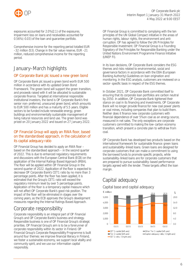



exposures accounted for 2.0% (2.1) of the exposures. Impairment loss on loans and receivables accounted for 0.56% (–0.03) of the loan and guarantee portfolio.

Comprehensive income for the reporting period totalled EUR –32 million (53). Change in the fair value reserve, EUR –21 million, reduced comprehensive income for the reporting period.

## <span id="page-6-0"></span>January–March highlights

## OP Corporate Bank plc issued a new green bond

OP Corporate Bank plc issued a green bond worth EUR 500 million in accordance with its updated Green Bond Framework. The green bond will support the green transition, and proceeds raised with it will be allocated to sustainable corporate finance. Targeted at international responsible institutional investors, the bond is OP Corporate Bank's first senior non-preferred, unsecured green bond, which amounts to EUR 500 million and has a maturity of 5.5 years. Eligible sectors to be funded include renewable energy, green buildings and environmentally sustainable management of living natural resources and land use. The green bond was priced on 20 January 2022 and issued on 27 January 2022.

### OP Financial Group will apply an RWA floor, based on the standardised approach, in the calculation of its capital adequacy ratio

OP Financial Group has decided to apply an RWA floor – based on the standardised approach – in the second quarter of 2022. This is due to enhanced regulatory requirements and discussions with the European Central Bank (ECB) on the application of the Internal Ratings Based Approach (IRBA). The floor will be applied within OP Financial Group in the second quarter of 2022. Application of the floor is expected to decrease OP Corporate Bank's CET1 ratio by no more than 3 percentage points. After the floor has been applied, it is estimated that the Group's CET1 ratio will exceed the regulatory minimum level by over 5 percentage points. Application of the floor is a temporary capital measure which will not affect OP Corporate Bank's good risk position. The impact of the floor will be eliminated in stages over the coming years, as the ECB approves the Group's development measures regarding the Internal Ratings Based Approach.

## <span id="page-6-1"></span>Corporate responsibility

Corporate responsibility is an integral part of OP Financial Group's and OP Corporate Bank's business and strategy. Responsible business is one of OP Financial Group's strategic priorities. OP Financial Group's aim is to be a forerunner of corporate responsibility within its sector in Finland. OP Financial Group's Corporate Responsibility Programme is built around four themes: we improve financial literacy in Finland, we foster a sustainable economy, we support local vitality and community spirit, and we use our information capital responsibly.

OP Financial Group is committed to complying with the ten principles of the UN Global Compact initiative in the areas of human rights, labour rights, the environment and anticorruption. OP has agreed to follow the UN Principles for Responsible Investment. OP Financial Group is a Founding Signatory of the Principles for Responsible Banking under the United Nations Environment Programme Finance Initiative (UNEP FI).

In its loan decisions, OP Corporate Bank considers the ESG themes and risks related to environmental, social and governance factors in accordance with the EBA (European Banking Authority) Guidelines on loan origination and monitoring. In the ESG analysis, customers are reviewed on a sector-specific basis in respect of the ESG themes.

In October 2021, OP Corporate Bank committed itself to ensuring that its corporate loan portfolios are carbon neutral by 2050. In addition, OP Corporate Bank tightened their stance on coal in its financing and investments. OP Corporate Bank will no longer provide finance for new coal power plants or coal mines, including companies that plan to build them. Neither does it finance new corporate customers with financial dependence of over 5% on coal as an energy source, measured in net sales. The only exceptions are corporate customers committed to making the low-carbon economy transition, which present a concrete plan to withdraw from coal.

OP Corporate Bank has developed two products based on the international framework for sustainable finance: green loans and sustainability-linked loans. Green loans are designed for corporate customers that can make a commitment to using the borrowed funds to promote specific projects, while sustainability-linked loans are for corporate customers that are prepared to pursue sustainability-based performance targets agreed with the lender. These targets affect the loan margin.

## <span id="page-6-2"></span>Capital adequacy

Capital base and capital adequacy

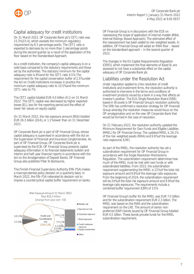

## Capital adequacy for credit institutions

On 31 March 2022, OP Corporate Bank plc's CET1 ratio was 15.3% (15.4), which exceeds the minimum regulatory requirement by 8.3 percentage points. The CET1 ratio is expected to decrease by no more than 3 percentage points during the second quarter as a result of the application of the floor based on the Standardised Approach.

As a credit institution, the company's capital adequacy is on a solid basis compared to the statutory requirements and those set by the authorities. The statutory minimum for the capital adequacy ratio is 8% and for the CET1 ratio 4.5%. The requirement for the capital conservation buffer of 2.5% under the Act on Credit Institutions increases in practice the minimum capital adequacy ratio to 10.5% and the minimum CET1 ratio to 7%.

The CET1 capital totalled EUR 4.0 billion (4.1) on 31 March 2022. The CET1 capital was decreased by higher expected losses (EL), loss for the reporting period and the effect of lower fair values on equity capital.

On 31 March 2022, the risk exposure amount (REA) totalled EUR 26.3 billion (26.6), or 1.1% lower than on 31 December 2021.

OP Corporate Bank plc is part of OP Financial Group, whose capital adequacy is supervised in accordance with the Act on the Supervision of Financial and Insurance Conglomerates. As part of OP Financial Group, OP Corporate Bank plc is supervised by the ECB. OP Financial Group presents capital adequacy information in its financial statements bulletin and interim and half-year financial reports in accordance with the Act on the Amalgamation of Deposit Banks. OP Financial Group also publishes Pillar III disclosures.

The Finnish Financial Supervisory Authority (FIN-FSA) makes a macroprudential policy decision on a quarterly basis. In March 2022, the FIN-FSA reiterated its decision not to impose a countercyclical capital buffer requirement on banks.



OP Financial Group is in discussions with the ECB on reassessing the scope of application of internal models (IRBA, Internal Ratings-Based Approach). The estimated effect of the reassessment has been added to risk-weighted assets. In addition, OP Financial Group will adopt an RWA floor – based on the standardised approach – in the second quarter of 2022.

The changes in the EU Capital Requirements Regulation (CRR3), which implement the final elements of Basel III, are assessed to not have a substantial effect on the capital adequacy of OP Corporate Bank plc.

## Liabilities under the Resolution Act

Under regulation applied to crisis resolution of credit institutions and investment firms, the resolution authority is authorised to intervene in the terms and conditions of investment products issued by a bank in a way that affects an investor's position. The EU's Single Resolution Board (SRB) based in Brussels is OP Financial Group's resolution authority. The SRB has confirmed a resolution strategy for OP Financial Group whereby the resolution measures would focus on the OP amalgamation and on the new OP Corporate Bank that would be formed in the case of resolution.

On 21 February 2022, the resolution authority updated the Minimum Requirement for Own Funds and Eligible Liabilities (MREL) for OP Financial Group. The updated MREL is 26.1% of the risk-weighted assets (RWA) and 9.9% of the leverage ratio exposures (LRE).

As part of the MREL, the resolution authority has set a subordination requirement for OP Financial Group in accordance with the Single Resolution Mechanisms Regulation. The subordination requirement determines how much of the MREL must be met with own funds or with subordinated liabilities. From 2022, the subordination requirement supplementing the MREL is 22% of the total risk exposure amount and 9.9% of the leverage ratio exposures. From the beginning of 2024, the subordination requirement will be 24% of the total risk exposure amount and 9.9% of the leverage ratio exposures. The requirements include a combined buffer requirement (CBR) of 3.5%.

OP Financial Group's buffer for the MREL was EUR 7.0 billion and for the subordination requirement EUR 2.3 billion. The MREL was based on the RWA and the subordination requirement on the LRE. The amount of senior nonpreferred (SNP) bonds issued by OP Financial Group totalled EUR 4.5 billion. These bonds provide funds for the MREL subordination requirement.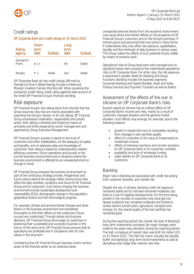

## Credit ratings

### OP Corporate Bank plc's credit ratings on 31 March 2022

| Rating<br>agency     | Short-<br>term<br>debt | Outlook | Long-<br>term<br><b>deht</b> | Outlook |
|----------------------|------------------------|---------|------------------------------|---------|
| Standard &<br>Poor's | $A - 1 +$              |         | $\Delta \Delta$ –            | Stable  |
| Moody's              | P-1                    | Stahle  |                              | hlet.   |

OP Corporate Bank plc has credit ratings affirmed by Standard & Poor's Global Ratings Europe Limited and Moody's Investors Service (Nordics) AB. When assessing the company's credit rating, credit rating agencies take account of the entire OP Financial Group's financial standing.

## <span id="page-8-0"></span>Risk exposure

OP Financial Group's risk-taking starts from the fact that the Group assumes risks that are mainly associated with executing the Group's mission. In its risk-taking, OP Financial Group emphasises moderation, responsibility and careful action. Risk-taking is directed and limited by means of principles and limits prepared by senior management and approved by Group Executive Management.

OP Financial Group's success is based on the trust of customers and other stakeholders, on the adequacy of capital and liquidity, and on extensive data and knowledge of customers. Risk-taking is based on understanding matters affecting customers' future operations and success in the current business environment and in situations where the business environment is affected by an unexpected shock or change in trend.

OP Financial Group analyses the business environment as part of the continuous strategy process. Megatrends and future visions behind the strategy reflect driving forces that affect the daily activities, conditions and future of OP Financial Group and its customers. Such factors shaping the business environment include sustainable development and responsibility (ESG), demographic change in the population, geopolitical factors and fast technological progress.

For example, climate and environmental changes and other factors in the business environment are considered thoroughly so that their effects on the customers' future success are understood. Through advice and business decisions, OP Financial Group encourages its customers in bolstering their sustainable and successful business in the future. At the same time, OP Financial Group ensures that its operations are profitable and in compliance with its core values in the long term.

Considering that OP Financial Group's business covers various areas of the financial sector on an extensive basis,

unexpected external shocks from the economic environment may cause direct and indirect effects on the prosperity of OP Financial Group's customers and on the Group's premises, IT infrastructure and personnel that may come in many forms. If materialised, they may affect risk exposure, capitalisation, liquidity and the continuity of daily business in various ways. The Group makes the effects of such potential shocks visible by means of scenario work.

Operational risks at Group level were well managed and no significant losses were caused by the materialised operational risks to OP Corporate Bank. For other risks, the risk exposure is examined in greater detail for Banking and Group Functions. Banking includes the business segments Corporate Banking and Capital Markets, Asset and Sales Finance Services and Payment Transfers as well as Baltics.

## Assessment of the effects of the war in Ukraine on OP Corporate Bank's risks

Russia's attack on Ukraine has an indirect effect on OP Corporate Bank's income and risks, mainly as a result of customers' changed situation and the general market situation. Such effects may emerge, for example, due to the following reasons:

- growth in impairment loss on receivables resulting from changes in loan portfolio quality
- effect of a reduction in the value of investments on investment income
- effects of extensive sanctions and counter sanctions on OP Corporate Bank or its customers' activities
- availability and price of wholesale funding
- cyber attacks on OP Corporate Bank or its customers.

## Banking

Major risks in Banking are associated with credit risk arising from customer business, and market risk.

Despite the war in Ukraine, Banking credit risk exposure remained stable and its risk level remained moderate, but there is a risk of negative developments. For the time being, growth in the number of customers who have got into deeper problems has remained moderate and limited to certain sectors (construction, agriculture, transport and energy). So, the overall quality of the loan portfolio has remained good.

During the reporting period, the market risk level of Banking's long-term investments increased. No major changes were made to the asset class allocation during the reporting period. The VaR, a measure of market risks, was EUR 34 million (33) on 31 March 2022. The VaR risk metric includes the liquidity buffer and banking's long-term bond investments as well as derivatives that hedge their interest rate risks.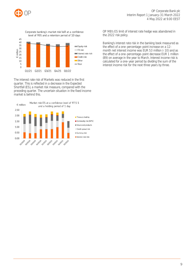





The interest rate risk of Markets was reduced in the first quarter. This is reflected in a decrease in the Expected Shortfall (ES), a market risk measure, compared with the preceding quarter. The uncertain situation in the fixed income market is behind this.



OP MB's ES limit of interest rate hedge was abandoned in the 2022 risk policy.

Banking's interest rate risk in the banking book measured as the effect of a one-percentage-point increase on a 12 month net interest income was EUR 53 million (-10) and as the effect of a one-percentage-point decrease EUR 1 million (89) on average in the year to March. Interest income risk is calculated for a one-year period by dividing the sum of the interest income risk for the next three years by three.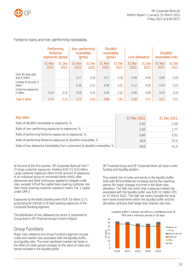

## Forborne loans and non-performing receivables

|                                           | exposures (gross) | Performing<br>forborne | receivables    | Non-performing | Doubtful<br>receivables |                |                | Loss allowance | Doubtful<br>receivables (net) |                |
|-------------------------------------------|-------------------|------------------------|----------------|----------------|-------------------------|----------------|----------------|----------------|-------------------------------|----------------|
|                                           | 31 Mar<br>2022    | 31 Dec<br>2021         | 31 Mar<br>2022 | 31 Dec<br>2021 | 31 Mar<br>2022          | 31 Dec<br>2021 | 31 Mar<br>2022 | 31 Dec<br>2021 | 31 Mar<br>2022                | 31 Dec<br>2021 |
| Over 90 days past<br>due, $\in$ billion   |                   |                        |                | 0.18           | 017                     | 0.18           | 0.09           | 0.09           | 0.08                          | O 09           |
| Unlikely to be paid, $\in$<br>billion     |                   |                        | 0.36           | 0.31           | 0.36                    | 0.31           | 0.12           | 0.09           | 0.24                          | 0.22           |
| Forborne exposures,<br>$\epsilon$ billion | N 14              | 0.19                   | 0.19           | 0.14           | 0.34                    | 0.32           | 0.09           | 0.09           | 0.24                          | O 24           |
| Total, $\epsilon$ billion                 | 0.14              | 0.19                   | 0.72           | 0.63           | 0.86                    | 0.81           | 0.30           | 0.27           | 0.57                          | 0.55           |

| Key ratios                                                                      | 31 Mar 2022 | 31 Dec 2021 |
|---------------------------------------------------------------------------------|-------------|-------------|
| Ratio of doubtful receivables to exposures, %                                   | 242         |             |
| Ratio of non-performing exposures to exposures, %                               |             |             |
| Ratio of performing forborne exposures to exposures, %                          |             |             |
| Ratio of performing forborne exposures to doubtful receivables, %               |             |             |
| Ratio of loss allowance (receivables from customers) to doubtful receivables, % |             |             |

At the end of the first quarter, OP Corporate Bank plc had 7 (7) large customer exposures, totalling EUR 3.5 (3.5) billion. Large customer exposure refers to the amount of exposures of an individual group of connected clients which, after allowances and other techniques applied to mitigate credit risks, exceeds 10% of the capital base covering customer risk. Own funds covering customer exposure means Tier 1 capital under CRR II.

Exposures by the Baltic Banking were EUR 3.9 billion (3.7), accounting for 9.8% (9.3) of total banking exposures of the Corporate Banking segment.

The distribution of loss allowance by sector is presented at Group level in OP Financial Group's Interim Report.

## Group Functions

Major risks related to the Group Functions segment include credit and market risks associated with the liquidity buffer, and liquidity risks. The most significant market risk factor is the effect of credit spread changes on the value of notes and bonds included in the liquidity buffer.

OP Financial Group and OP Corporate Bank plc have a solid funding and liquidity position.

The market risk of notes and bonds in the liquidity buffer (VaR with 95% confidence) increased during the reporting period. No major changes occurred in the asset class allocation. The VaR risk metric that measures market risk associated with the liquidity buffer was EUR 31 million (30) on 31 March 2022. The VaR risk metric includes the longterm bond investments within the liquidity buffer and the derivative contracts that hedge their interest rate risks.



Liquidity buffer's market risk VaR at a confidence level of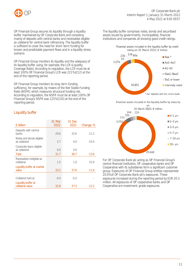

OP Financial Group secures its liquidity through a liquidity buffer maintained by OP Corporate Bank and consisting mainly of deposits with central banks and receivables eligible as collateral for central bank refinancing. The liquidity buffer is sufficient to cover the need for short-term funding for known and predictable payment flows and in a liquidity stress scenario.

OP Financial Group monitors its liquidity and the adequacy of its liquidity buffer using, for example, the LCR (Liquidity Coverage Ratio). According to regulation, the LCR must be at least 100%. OP Financial Group's LCR was 221% (212) at the end of the reporting period.

OP Financial Group monitors its long-term funding sufficiency, for example, by means of the Net Stable Funding Ratio (NSFR), which measures structural funding risk. According to regulation, the NSFR must be at least 100%. OP Financial Group's NSFR was 125% (130) at the end of the reporting period.

## Liquidity buffer

|                                           | 31 Mar | 31 Dec |           |
|-------------------------------------------|--------|--------|-----------|
| $\epsilon$ billion                        | 2022   | 2021   | Change, % |
| Deposits with central<br>banks            | 29.0   | 32.6   | $-11.2$   |
| Notes and bonds eligible<br>as collateral | 2.7    | 4.0    | $-33.4$   |
| Corporate loans eligible<br>as collateral | 0.0    | 0.0    |           |
| Total                                     | 31.7   | 36.7   | $-13.6$   |
| Receivables ineligible as<br>collateral   | 1.5    | 1.0    | 52.9      |
| Liquidity buffer at market<br>value       | 33.2   | 37.6   | $-11.9$   |
|                                           |        |        |           |
| Collateral haircut                        | $-0.4$ | $-0.3$ |           |
| Liquidity buffer at<br>collateral value   | 32.8   | 37.3   | $-12.2$   |

The liquidity buffer comprises notes, bonds and securitised assets issued by governments, municipalities, financial institutions and companies all showing good credit ratings.

Financial assets included in the liquidity buffer by credit rating on 31 March 2022, € million



Financial assets included in the liquidity buffer by maturity



For OP Corporate Bank plc acting as OP Financial Group's central financial institution, OP cooperative banks and OP Cooperative with its subsidiaries form a significant customer group. Exposures of OP Financial Group entities represented 20.0% of OP Corporate Bank plc's exposures. These exposures increased during the reporting period by EUR 20.3 million. All exposures of OP cooperative banks and OP Cooperative are investment-grade exposures.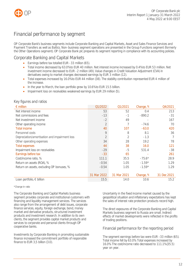

## <span id="page-12-0"></span>Financial performance by segment

OP Corporate Bank's business segments include Corporate Banking and Capital Markets, Asset and Sales Finance Services and Payment Transfers as well as Baltics. Non-business segment operations are presented in the Group Functions segment (formerly the Other Operations segment). OP Corporate Bank plc prepares its segment reporting in compliance with its accounting policies.

## <span id="page-12-1"></span>Corporate Banking and Capital Markets

- **Earnings before tax totalled EUR -33 million (65).**
- Total income decreased by 63.0% to EUR 40 million. Net interest income increased by 0.4% to EUR 53 million. Net investment income decreased to EUR -2 million (49). Value changes in Credit Valuation Adjustment (CVA) in derivatives owing to market changes decreased earnings by EUR 3 million (12).
- Total expenses increased by 16.0% to EUR 44 million (38). The stability contribution represented EUR 4 million of the increase.
- In the year to March, the loan portfolio grew by 10.6% to EUR 15.5 billion.
- Impairment loss on receivables weakened earnings by EUR 29 million (5).

### Key figures and ratios

| $\epsilon$ million                            | Q1/2022        | Q1/2021     | Change, % | Q4/2021     |
|-----------------------------------------------|----------------|-------------|-----------|-------------|
| Net interest income                           | 53             | 52          | 0.4       | 213         |
| Net commissions and fees                      | $-13$          | $-1$        | $-890.2$  | $-31$       |
| Net investment income                         | $-2$           | 49          |           | 167         |
| Other operating income                        | $\overline{2}$ |             | $-74.6$   | 70          |
| <b>Total income</b>                           | 40             | 107         | $-63.0$   | 420         |
| Personnel costs                               | $\circ$        | 8           | 8.1       | 36          |
| Depreciation/amortisation and impairment loss | $\overline{2}$ | 2           | $-1.3$    |             |
| Other operating expenses                      | 34             | 28          | 19.2      | 78          |
| <b>Total expenses</b>                         | 44             | 38          | 16.0      | 121         |
| Impairment loss on receivables                | $-29$          | $-5$        | 531.4     | $-38$       |
| Earnings before tax                           | $-33$          | 65          |           | 261         |
| Cost/income ratio, %                          | 111.1          | 35.5        | $-75.6*$  | 28.9        |
| Return on assets (ROA), %                     | $-0.54$        | 1.05        | $-1.59*$  | 1.29        |
| Return on assets, excluding OP bonuses, %     | $-0.54$        | 1.05        | $-1.59*$  | 1.29        |
|                                               |                |             |           |             |
|                                               | 31 Mar 2022    | 31 Mar 2021 | Change, % | 31 Dec 2021 |
| Loan portfolio, $\in$ billion                 | 15.5           | 14.0        | 10.6      | 15.2        |

#### \*Change in ratio

The Corporate Banking and Capital Markets business segment provides corporate and institutional customers with financing and liquidity management services. The services also range from the arrangement of debt issues, corporate finance services, equity, foreign exchange, bond, money market and derivative products, structured investment products and investment research. In addition to its own clients, the segment provides capital market products and services to corporate and personal clients through OP cooperative banks.

Investments by Corporate Banking in promoting sustainable finance increased the commitment portfolio of responsible finance to EUR 3,5 billion (3.0).

Uncertainty in the fixed income market caused by the geopolitical situation and inflationary expectations has kept the sales of interest rate protection products record high.

The direct exposures of the Corporate Banking and Capital Markets business segment to Russia are small. Indirect effects of market developments were reflected in the profits of trading positions.

### Financial performance for the reporting period

The segment earnings before tax were EUR –33 million (65). Total income fell by 63.0%. Total expenses increased by 16.0%. The cost/income ratio decreased to 111.1% (35.5) year on year.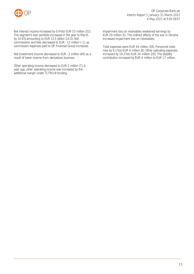

Net interest income increased by 0.4% to EUR 53 million (52). The segment's loan portfolio increased in the year to March by 10.6%, amounting to EUR 15.5 billion (14.0). Net commissions and fees decreased to EUR -13 million (-1), as commission expenses paid to OP Financial Group increased.

Net investment income decreased to EUR -2 million (49) as a result of lower income from derivatives business.

Other operating income decreased to EUR 2 million (7). A year ago, other operating income was increased by the additional margin under TLTRO III funding.

Impairment loss on receivables weakened earnings by EUR 29 million (5). The indirect effects of the war in Ukraine increased impairment loss on receivables.

Total expenses were EUR 44 million (38). Personnel costs rose by 8.1% to EUR 9 million (8). Other operating expenses increased by 19.2% to EUR 34 million (28). The stability contribution increased by EUR 4 million to EUR 17 million.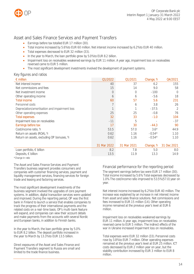

## <span id="page-14-0"></span>Asset and Sales Finance Services and Payment Transfers

- Earnings before tax totalled EUR 17 million (30).
- Total income increased by 5.6% to EUR 60 million. Net interest income increased by 6.2% to EUR 40 million.
- Total expenses decreased to EUR 32 million (33).
- In the year to March, the loan portfolio grew by 5.0% to EUR 8.2 billion.
- Impairment loss on receivables weakened earnings by EUR 11 million. A year ago, impairment loss on receivables reversed came to EUR 5 million.
- The most significant development investments involved the development of payment systems.

### Key figures and ratios

| $\epsilon$ million                            | Q1/2022     | Q1/2021     | Change, % | Q4/2021          |
|-----------------------------------------------|-------------|-------------|-----------|------------------|
| Net interest income                           | 40          | 37          | 6.2       | 155              |
| Net commissions and fees                      | 15          | 14          | 9.0       | 58               |
| Net investment income                         | 0           | $\Omega$    | $-100$    | $\left( \right)$ |
| Other operating income                        | 6           | 6           | $-5.6$    | 18               |
| <b>Total income</b>                           | 60          | 57          | 5.6       | 231              |
| Personnel costs                               |             | 6           | 3.8       | 26               |
| Depreciation/amortisation and impairment loss |             |             | $-37.5$   | 2                |
| Other operating expenses                      | 25          | 25          | $-0.8$    | 76               |
| <b>Total expenses</b>                         | 32          | 33          | $-1.0$    | 104              |
| Impairment loss on receivables                | $-11$       | 5           |           | $-37$            |
| Earnings before tax                           | 17          | 30          | $-44.3$   | 90               |
| Cost/income ratio, %                          | 53.5        | 57.0        | $3.6*$    | 44.9             |
| Return on assets (ROA), %                     | 0.62        | 1.16        | $-0.54*$  | 1.10             |
| Return on assets, excluding OP bonuses, %     | 0.62        | 1.16        | $-0.54*$  | 1.10             |
|                                               |             |             |           |                  |
|                                               | 31 Mar 2022 | 31 Mar 2021 | Change, % | 31 Dec 2021      |
| Loan portfolio, $\in$ billion                 | 8.2         | 7.8         | 5.0       | 8.0              |
| Deposits, $\in$ billion                       | 13.5        | 11.9        | 13.3      | 14.9             |

\*Change in ratio

The Asset and Sales Finance Services and Payment Transfers business segment provides consumers and companies with customer financing services, payment and liquidity management services, financing services for foreign trade and leasing and factoring services.

The most significant development investments of the business segment involved the upgrades of core payment systems. In addition, digital transaction services were updated and improved. During the reporting period, OP was the first bank in Finland to launch a service that enables companies to track the progress of their international payments and the related costs on a real-time basis. OP's multi-bank feature will expand, and companies can view their account details and make payments from the accounts with several Nordic and European banks, in addition to Finnish banks.

In the year to March, the loan portfolio grew by 5.0% to EUR 8.2 billion. The deposit portfolio increased in the year to March by 13.3% to EUR 13.5 billion.

Direct exposures of the Asset and Sales Finance and Payment Transfers segment to Russia are small and limited to the trade finance business.

## Financial performance for the reporting period

The segment earnings before tax were EUR 17 million (30). Total income increased by 5.6%. Total expenses decreased by 1.0%. The cost/income ratio improved to 53.5% (57.0) year on year.

Net interest income increased by 6.2% to EUR 40 million. The increase was explained by an increase in net interest income from asset and sales finance solutions. Net commissions and fees increased to EUR 15 million (14). Other operating income remained at the previous year's level at EUR 6 million.

Impairment loss on receivables weakened earnings by EUR 11 million. A year ago, impairment loss on receivables reversed came to EUR 5 million. The indirect effects of the war in Ukraine increased impairment loss on receivables.

Total expenses were EUR 32 million (33). Personnel costs rose by 3.8% to EUR 7 million. Other operating expenses remained at the previous year's level at EUR 25 million. ICT costs decreased by EUR 2 million year on year, but the stability contribution increased by EUR 3 million to EUR 8 million.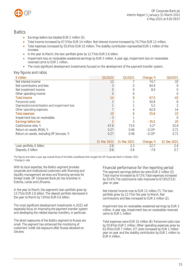

## <span id="page-15-0"></span>**Baltics**

- Earnings before tax totalled EUR 2 million (3).
- Total income increased by 67.5% to EUR 14 million. Net interest income increased by 74.7% to EUR 12 million.
- Total expenses increased by 55.6% to EUR 10 million. The stability contribution represented EUR 1 million of the increase.
- In the year to March, the loan portfolio grew by 12.7% to EUR 2.6 billion.
- Impairment loss on receivables weakened earnings by EUR 3 million. A year ago, impairment loss on receivables reversed came to EUR 1 million.
- The most significant development investments focused on the development of the payment transfer system.

### Key figures and ratios

| $\epsilon$ million                            | Q1/2022        | Q1/2021     | Change, % | Q4/2021     |
|-----------------------------------------------|----------------|-------------|-----------|-------------|
| Net interest income                           | 12             |             | 74.7      | 33          |
| Net commissions and fees                      | 3              |             | 64.9      | 9           |
| Net investment income                         | $\overline{0}$ |             | 8.0       |             |
| Other operating income                        | 0              |             |           |             |
| <b>Total income</b>                           | 14             | 9           | 67.5      | 42          |
| Personnel costs                               | 2              |             | 50.8      | 6           |
| Depreciation/amortisation and impairment loss |                |             | 5.2       |             |
| Other operating expenses                      |                |             | 62.9      | 14          |
| <b>Total expenses</b>                         | 10             | 6           | 55.6      | 22          |
| Impairment loss on receivables                | $-3$           |             |           | $\bigcap$   |
| Earnings before tax                           | $\overline{2}$ | 3           | $-35.5$   | 20          |
| Cost/income ratio, %                          | 67.8           | 73.0        | $5.2*$    | 52.8        |
| Return on assets (ROA), %                     | 0.27           | 0.46        | $-0.19*$  | 0.71        |
| Return on assets, excluding OP bonuses, %     | 0.27           | 0.46        | $-0.19*$  | 0.71        |
|                                               |                |             |           |             |
|                                               | 31 Mar 2022    | 31 Mar 2021 | Change, % | 31 Dec 2021 |
| Loan portfolio, $\in$ billion                 | 2.6            | 2.3         | 12.7      | 2.4         |
| Deposits, $\in$ billion                       | 0.6            | 0.6         | $-7.6$    | 0.7         |

The figures and ratios a year ago exclude those of the Baltic subsidiaries that merged into OP Corporate Bank in October 2021. \*Change in ratio

With its local expertise, the Baltics segment provides corporate and institutional customers with financing and liquidity management services and financing services for foreign trade. OP Corporate Bank plc has branches in Estonia, Latvia and Lithuania.

In the year to March, the segment's loan portfolio grew by 12.7% to EUR 2.6 billion. The deposit portfolio decreased in the year to March by 7.6% to EUR 0.6 billion.

The most significant development investments in 2022 will especially focus on improving the payment transfer system and developing the related express transfers, in particular.

The direct exposures of the Baltics segment to Russia are small. The segment has enhanced the monitoring of customers' credit risk exposure after Russia attacked on Ukraine.

Financial performance for the reporting period The segment earnings before tax were EUR 2 million (3). Total income increased by 67.5%. Total expenses increased by 55.6%. The cost/income ratio improved to 67.8% (73.0) year on year.

Net interest income rose to EUR 12 million (7). The loan portfolio grew by 12.7% in the year to March. Net commissions and fees increased to EUR 3 million (2).

Impairment loss on receivables weakened earnings by EUR 3 million. A year ago, impairment loss on receivables reversed came to EUR 1 million.

Total expenses were EUR 10 million (6). Personnel costs rose by 50.8% to EUR 2 million. Other operating expenses grew by 62.9% to EUR 7 million. ICT costs increased by EUR 1 million year on year and the stability contribution by EUR 1 million to EUR 4 million.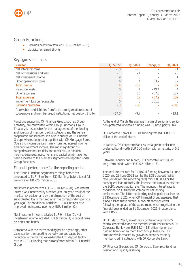

## <span id="page-16-0"></span>Group Functions

- Earnings before tax totalled EUR –3 million (–33).
- Liquidity remained strong.

## Key figures and ratios

| $\epsilon$ million                                                           | Q1/2022      | Q1/2021 | Change, % | Q4/2021   |
|------------------------------------------------------------------------------|--------------|---------|-----------|-----------|
| Net interest income                                                          | $-10$        | $-20$   |           |           |
| Net commissions and fees                                                     | $-$          | -1      |           | $-5$      |
| Net investment income                                                        |              |         |           |           |
| Other operating income                                                       | <sub>(</sub> |         | 63.2      | 19        |
| <b>Total income</b>                                                          |              | $-16$   |           | 27        |
| Personnel costs                                                              |              |         | $-49.4$   | 4         |
| Other expenses                                                               |              | 16      | $-57.6$   | 127       |
| <b>Total expenses</b>                                                        |              | 17      | $-57.2$   | 132       |
| Impairment loss on receivables                                               |              |         | 361.5     | $\bigcap$ |
| Earnings before tax                                                          | $-3$         | $-33$   |           | $-105$    |
| Receivables and liabilities from/to the amalgamation's central               |              |         |           |           |
| cooperative and member credit institutions, net position, $\epsilon$ billion | $-14.0$      | $-9.7$  |           | $-13.1$   |

Functions supporting OP Financial Group, such as Group Treasury, are centralised within Group Functions. Group Treasury is responsible for the management of the funding and liquidity of member credit institutions and the central cooperative consolidated. It is also in charge of OP Financial Group's wholesale funding together with OP Mortgage Bank. Operating income derives mainly from net interest income and net investment income. The most significant risk categories are market risks and credit risk. In addition, income, expenses, investments and capital which have not been allocated to the business segments are reported under Group Functions.

### Financial performance for the reporting period

The Group Functions segment's earnings before tax amounted to EUR –3 million (–33). Earnings before tax at fair value were EUR -25 million (-38).

Net interest income was EUR –10 million (–20). Net interest income was increased by a better year-on-year result of the market risk position and by the elimination of the cost of subordinated loans matured after the corresponding period a year ago. The conditional additional TLTRO interest rate improved net interest income by EUR 3 million (1).

Net investment income totalled EUR 9 million (0). Net investment income included EUR 9 million (3) in capital gains on notes and bonds.

Compared with the corresponding period a year ago, other expenses for the reporting period were decreased by a reduction in the margin exceeding the ECB deposit facility rate in TLTRO funding that is transferred within OP Financial Group.

At the end of March, the average margin of senior and senior non-preferred wholesale funding was 36 basis points (34).

OP Corporate Bank's TLTRO III funding totalled EUR 16.0 billion at the end of March.

In January, OP Corporate Bank issued a green senior nonpreferred bond worth EUR 500 million with a maturity of 5.5 years.

Between January and March, OP Corporate Bank issued long-term bonds worth EUR 0.5 billion (1.3).

The total interest rate for TLTRO III funding between 24 June 2020 and 23 June 2022 can be the ECB's deposit facility rate (–0.50% on the reporting date) minus 0.50%. For the subsequent loan maturity, the interest rate can at its best be the ECB's deposit facility rate. The reduced interest rate is conditional on fulfilling the criteria for net lending performance. The latter net lending review period expired on 31 December 2021 when OP Financial Group assessed that it had fulfilled these criteria. A one-off earnings effect following the update of the assessment was recognised in the financial year ended on 31 December 2021, in accordance with IFRS 9.

On 31 March 2022, investments by the amalgamation's central cooperative and the member credit institutions in OP Corporate Bank were EUR 14.0 (–13) billion higher than funding borrowed by them from Group Treasury. This amount was increased by growth in deposits made by member credit institutions with OP Corporate Bank.

OP Financial Group's and OP Corporate Bank plc's funding position and liquidity is strong.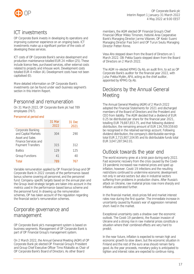



## <span id="page-17-0"></span>ICT investments

OP Corporate Bank invests in developing its operations and improving customer experience on an ongoing basis. ICT investments make up a significant portion of the costs of developing these services.

ICT costs of OP Corporate Bank's service development and production maintenance totalled EUR 24 million (25). These include licence fees, purchased services, other external costs related to projects and inhouse work. Development costs totalled EUR 4 million (4). Development costs have not been capitalised (0).

More detailed information on OP Corporate Bank's investments can be found under each business segment's section in this Interim Report.

## <span id="page-17-1"></span>Personnel and remuneration

On 31 March 2022, OP Corporate Bank plc had 789 employees (767).

### Personnel at period end

|                                                                    | 31 Mar<br>2022 | 31 Dec<br>2021 |
|--------------------------------------------------------------------|----------------|----------------|
| Corporate Banking<br>and Capital Markets<br><b>Asset and Sales</b> | 304            | 290            |
| Finance Services and<br><b>Payment Transfers</b>                   | 315            | 312            |
| <b>Baltics</b>                                                     | 129            | 125            |
| <b>Group Functions</b>                                             | 41             | 40             |
| Total                                                              | 789            | 767            |

Variable remuneration applied by OP Financial Group and OP Corporate Bank in 2022 consists of the performance-based bonus scheme covering all personnel, and the personnel fund. Company-specific targets based on the annual plan and the Group-level strategic targets are taken into account in the metrics used in the performance-based bonus scheme and the personnel fund. In drawing up the remuneration schemes, OP has taken account of the regulation regarding the financial sector's remuneration schemes.

## <span id="page-17-2"></span>Corporate governance and management

OP Corporate Bank plc's management system is based on business segments. Management of OP Corporate Bank is part of OP Financial Group's management system.

On 2 March 2022, the Annual General Meeting (AGM) of OP Corporate Bank plc elected OP Financial Group's President and Group Chief Executive Officer Timo Ritakallio as Chair of OP Corporate Bank's Board of Directors. As other Board

members, the AGM elected OP Financial Group's Chief Financial Officer Mikko Timonen, Helsinki Area Cooperative Bank's Managing Director Jarmo Viitanen, OP Keski-Suomi Managing Director Pasi Sorri and OP Turun Seutu Managing Director Petteri Rinne.

Vesa Aho stepped down from the Board of Directors on 1 March 2022. Olli-Pekka Saario stepped down from the Board of Directors on 2 March 2022.

The AGM re-elected KPMG Oy Ab, an audit firm, to act as OP Corporate Bank's auditor for the financial year 2022, with Juha-Pekka Mylén, APA, acting as the chief auditor, appointed by KPMG Oy Ab.

## Decisions by the Annual General **Meeting**

The Annual General Meeting (AGM) of 2 March 2022 adopted the Financial Statements for 2021 and discharged members of the Board of Directors and the President and CEO from liability. The AGM decided that a dividend of EUR 0.25 be distributed per share for the financial year 2021, totalling EUR 79,887,853.75, and that following dividend distribution, the remaining amount of EUR 134,709,559.60 be recognised in the retained earnings account. Following dividend distribution, the company's distributable earnings total EUR 2,715,907,104.95 and its distributable funds total EUR 3,047,287,942.01.

## <span id="page-17-3"></span>Outlook towards the year end

The world economy grew at a brisk pace during early 2022. Fast economic recovery from the crisis caused by the Covid-19 pandemic increased raw material prices and sped up inflation, however. Covid-19 infections and the resulting restrictions continued to undermine economic development not only in service sectors but also in industrial sectors suffering from problems in production chains. After Russia's attack on Ukraine, raw material prices rose more sharply and inflation accelerated further.

In the financial market, stock prices fell and market interest rates rose during the first quarter. The immediate increase in uncertainty caused by Russia's war of aggression remained short-lived in the market.

Exceptional uncertainty casts a shadow over the economic outlook. The Covid-19 pandemic, the Russian invasion of Ukraine and a strong rise in raw material prices constitute a situation where their combined effects are very hard to predict.

In the near future, inflation is expected to remain high and economic growth to slow down, but the economic situation in Finland and the rest of the euro area should remain fairly good. As the year proceeds, monetary policy is anticipated to tighten and interest rates are expected to continue rising.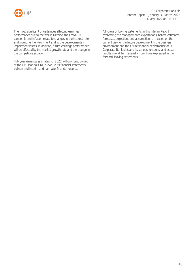

The most significant uncertainties affecting earnings performance due to the war in Ukraine, the Covid-19 pandemic and inflation relate to changes in the interest rate and investment environment and to the developments in impairment losses. In addition, future earnings performance will be affected by the market growth rate and the change in the competitive situation.

Full-year earnings estimates for 2022 will only be provided at the OP Financial Group level, in its financial statements bulletin and interim and half-year financial reports.

All forward-looking statements in this Interim Report expressing the management's expectations, beliefs, estimates, forecasts, projections and assumptions are based on the current view of the future development in the business environment and the future financial performance of OP Corporate Bank plc's and its various functions, and actual results may differ materially from those expressed in the forward-looking statements.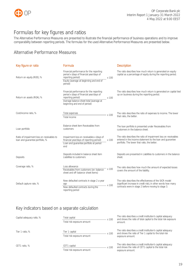

## <span id="page-19-0"></span>Formulas for key figures and ratios

The Alternative Performance Measures are presented to illustrate the financial performance of business operations and to improve comparability between reporting periods. The formulas for the used Alternative Performance Measures are presented below.

## Alternative Performance Measures

| Key figure or ratio                                                           | Formula                                                                                                                                                                                      | <b>Description</b>                                                                                                                                                               |
|-------------------------------------------------------------------------------|----------------------------------------------------------------------------------------------------------------------------------------------------------------------------------------------|----------------------------------------------------------------------------------------------------------------------------------------------------------------------------------|
| Return on equity (ROE), %                                                     | Financial performance for the reporting<br>period x (days of financial year/days of<br>reporting period)<br>x 100<br>Equity (average at beginning and end of<br>period)                      | The ratio describes how much return is generated on equity<br>capital as a percentage of equity during the reporting period.                                                     |
| Return on assets (ROA), %                                                     | Financial performance for the reporting<br>period x (days of financial year/days of<br>reporting period)<br>x 100<br>Average balance sheet total (average at<br>beginning and end of period) | The ratio describes how much return is generated on capital tied<br>up on business during the reporting period.                                                                  |
| Cost/income ratio, %                                                          | <b>Total expenses</b><br>x 100<br>Total income                                                                                                                                               | The ratio describes the ratio of expenses to income. The lower<br>that ratio, the better.                                                                                        |
| Loan portfolio                                                                | Balance sheet item Receivables from<br>customers                                                                                                                                             | The loan portfolio is presented under Receivables from<br>customers in the balance sheet.                                                                                        |
| Ratio of impairment loss on receivables to<br>loan and quarantee portfolio, % | Impairment loss on receivables x (days of<br>financial year/days of reporting period)<br>x 100<br>Loan and quarantee portfolio at period<br>end                                              | The ratio describes the ratio of impairment loss on receivables<br>entered in the income statement to the loan and quarantee<br>portfolio. The lower that ratio, the better.     |
| Deposits                                                                      | Deposits included in balance sheet item<br>Liabilities to customers                                                                                                                          | Deposits are presented in Liabilities to customers in the balance<br>sheet.                                                                                                      |
| Coverage ratio, %                                                             | Loss allowance<br>Receivables from customers (on-balance- x 100<br>sheet and off-balance-sheet items)                                                                                        | The ratio describes how much the amount of expected losses<br>covers the amount of the liability.                                                                                |
| Default capture rate, %                                                       | New defaulted contracts in stage 2 a year<br>ago<br>$- x 100$<br>New defaulted contracts during the<br>reporting period                                                                      | The ratio describes the effectiveness of the SICR model<br>(significant increase in credit risk), in other words how many<br>contracts were in stage 2 before moving to stage 3. |

## Key indicators based on a separate calculation

| Capital adequacy ratio, % | Total capital                                | x 100 |
|---------------------------|----------------------------------------------|-------|
|                           | Total risk exposure amount                   |       |
| Tier 1 ratio, %           | Tier 1 capital<br>Total risk exposure amount | x 100 |
| CET1 ratio, %             | CET1 capital<br>Total risk exposure amount   | x 100 |

The ratio describes a credit institution's capital adequacy and shows the ratio of total capital to the total risk exposure amount.

The ratio describes a credit institution's capital adequacy and shows the ratio of Tier 1 capital to the total risk exposure amount.

The ratio describes a credit institution's capital adequacy and shows the ratio of CET1 capital to the total risk exposure amount.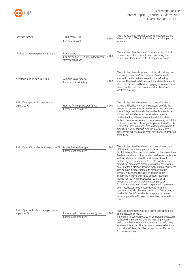

| Leverage ratio, %                                         | Tier 1 capital (T1)<br>x 100<br>Exposure amount                                               | The ratio describes a credit institution's indebtedness and<br>shows the ratio of Tier 1 capital to the total risk exposure<br>amount.                                                                                                                                                                                                                                                                                                                                                                                                                                                                                                                                                                                                                                                                                                                                                                                                                                                                                                                                                     |
|-----------------------------------------------------------|-----------------------------------------------------------------------------------------------|--------------------------------------------------------------------------------------------------------------------------------------------------------------------------------------------------------------------------------------------------------------------------------------------------------------------------------------------------------------------------------------------------------------------------------------------------------------------------------------------------------------------------------------------------------------------------------------------------------------------------------------------------------------------------------------------------------------------------------------------------------------------------------------------------------------------------------------------------------------------------------------------------------------------------------------------------------------------------------------------------------------------------------------------------------------------------------------------|
| Liquidity coverage requirement (LCR), %                   | Liquid assets<br>x 100<br>Liquidity outflows - liquidity inflows under<br>stressed conditions | The ratio describes short-term funding liquidity risk that<br>requires the bank to have sufficient, high-quality liquid<br>assets to get through an acute 30-day stress scenario.                                                                                                                                                                                                                                                                                                                                                                                                                                                                                                                                                                                                                                                                                                                                                                                                                                                                                                          |
| Net stable funding ratio (NSFR), %                        | Available stable funding<br>x 100<br>Required stable funding                                  | The ratio describes a long-term liquidity risk that requires<br>the bank to have a sufficient amount of stable funding<br>sources in relation to items requiring stable funding<br>sources. The objective is to secure the sustainable maturity<br>structure of assets and liabilities applying a 12-month time<br>horizon and to restrict excessive resort to short-term<br>wholesale funding.                                                                                                                                                                                                                                                                                                                                                                                                                                                                                                                                                                                                                                                                                            |
| Ratio of non-performing exposures to<br>exposures, %      | Non-performing exposures (gross)<br>x 100<br>Exposures at period end                          | The ratio describes the ratio of customers with severe<br>payment difficulties to the entire exposure portfolio. Non-<br>performing exposures refer to receivables that are more<br>than 90 days past due and other receivables classified as<br>risky as well as forborne exposures related to such<br>receivables due to the customer's financial difficulties.<br>Forbearance measures consist of concessions agreed at the<br>customers' initiative to the original repayment plan to make<br>it easier for them to manage through temporary payment<br>difficulties. Non-performing exposures are presented in<br>gross terms; expected credit losses have not been deducted<br>from them.                                                                                                                                                                                                                                                                                                                                                                                            |
| Ratio of doubtful receivables to exposures, %             | Doubtful receivables (gross)<br>x 100<br>Exposures at period end                              | The ratio describes the ratio of customers with payment<br>difficulties to the entire exposure portfolio.<br>Doubtful receivables refer to receivables that are more than<br>90 days past due and other receivables classified as risky as<br>well as forbearance related to such receivables or to<br>performing receivables due to the customer's financial<br>difficulties. Forbearance measures consist of concessions<br>agreed at the customers' initiative to the original repayment<br>plan to make it easier for them to manage through<br>temporary payment difficulties. In addition to non-<br>performing forborne exposures, doubtful receivables<br>include non-performing exposures reclassified as<br>performing ones during their probation period or<br>forbearance measures made into a performing agreement.<br>Loan modifications due to reasons other than the<br>customer's financial difficulties are not classified as doubtful<br>receivables. Doubtful receivables are presented in gross<br>terms; expected credit losses have not been deducted from<br>them. |
| Ratio of performing forborne exposures to<br>exposures, % | Performing forborne exposures (gross)<br>x 100<br>Exposures at period end                     | The ratio describes the ratio of forborne exposures to the<br>entire exposure portfolio.<br>Performing forborne exposures include forborne exposures<br>reclassified as performing ones during their probation<br>period or forbearance measures made into a performing<br>agreement. Loan modifications due to reasons other than<br>the customer's financial difficulties are not classified as<br>forborne exposures.                                                                                                                                                                                                                                                                                                                                                                                                                                                                                                                                                                                                                                                                   |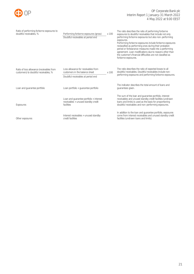

| Ratio of performing forborne exposures to<br>doubtful receivables. %               | Performing forborne exposures (gross)<br>Doubtful receivables at period end                  | x 100 | The ratio describes the ratio of performing forborne<br>exposures to doubtful receivables that include not only<br>performing forborne exposures but also non-performing<br>exposures.<br>Performing forborne exposures include forborne exposures<br>reclassified as performing ones during their probation<br>period or forbearance measures made into a performing<br>agreement. Loan modifications due to reasons other than<br>the customer's financial difficulties are not classified as<br>forborne exposures. |
|------------------------------------------------------------------------------------|----------------------------------------------------------------------------------------------|-------|------------------------------------------------------------------------------------------------------------------------------------------------------------------------------------------------------------------------------------------------------------------------------------------------------------------------------------------------------------------------------------------------------------------------------------------------------------------------------------------------------------------------|
| Ratio of loss allowance (receivables from<br>customers) to doubtful receivables, % | Loss allowance for receivables from<br>customers in the balance sheet                        | x100  | The ratio describes the ratio of expected losses to all<br>doubtful receivables. Doubtful receivables include non-                                                                                                                                                                                                                                                                                                                                                                                                     |
|                                                                                    | Doubtful receivables at period end                                                           |       | performing exposures and performing forborne exposures.                                                                                                                                                                                                                                                                                                                                                                                                                                                                |
| Loan and quarantee portfolio                                                       | Loan portfolio + quarantee portfolio                                                         |       | The indicator describes the total amount of loans and<br>guarantees given.                                                                                                                                                                                                                                                                                                                                                                                                                                             |
| Exposures                                                                          | Loan and quarantee portfolio + interest<br>receivables + unused standby credit<br>facilities |       | The sum of the loan and guarantee portfolio, interest<br>receivables and unused standby credit facilities (undrawn<br>loans and limits) is used as the basis for proportioning<br>doubtful receivables and non-performing exposures.                                                                                                                                                                                                                                                                                   |
| Other exposures                                                                    | Interest receivables + unused standby<br>credit facilities                                   |       | In addition to the loan and guarantee portfolio, exposures<br>come from interest receivables and unused standby credit<br>facilities (undrawn loans and limits).                                                                                                                                                                                                                                                                                                                                                       |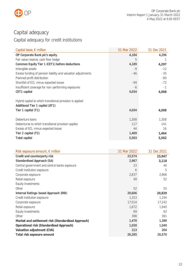

## <span id="page-22-0"></span>Capital adequacy

## Capital adequacy for credit institutions

| Capital base, $\epsilon$ million                                                             | 31 Mar 2022  | 31 Dec 2021  |
|----------------------------------------------------------------------------------------------|--------------|--------------|
| OP Corporate Bank plc's equity                                                               | 4,184        | 4,296        |
| Fair value reserve, cash flow hedge                                                          | 5            |              |
| Common Equity Tier 1 (CET1) before deductions                                                | 4,189        | 4,297        |
| Intangible assets                                                                            | $-9$         | $-12$        |
| Excess funding of pension liability and valuation adjustments                                | -46          | $-35$        |
| Planned profit distribution                                                                  |              | $-80$        |
| Shortfall of ECL minus expected losses                                                       | $-94$        | $-72$        |
| Insufficient coverage for non-performing exposures                                           | -6           | $-1$         |
| CET1 capital                                                                                 | 4,034        | 4,098        |
| Hybrid capital to which transitional provision is applied<br>Additional Tier 1 capital (AT1) |              |              |
| Tier 1 capital (T1)                                                                          | 4,034        | 4,098        |
| Debenture loans<br>Debentures to which transitional provision applies                        | 1,308<br>117 | 1,308<br>141 |
| Excess of ECL minus expected losses                                                          | 44           | 16           |
| Tier 2 capital (T2)                                                                          | 1,469        | 1,464        |
| Total capital                                                                                | 5,503        | 5,562        |

| Risk exposure amount, $\epsilon$ million           | 31 Mar 2022 | 31 Dec 2021 |
|----------------------------------------------------|-------------|-------------|
| Credit and counterparty risk                       | 23,574      | 23,947      |
| Standardised Approach (SA)                         | 2,967       | 3,118       |
| Central government and central banks exposure      | 23          | 40          |
| Credit institution exposure                        | 6           | 5           |
| Corporate exposure                                 | 2,837       | 2,966       |
| Retail exposure                                    | 49          | 52          |
| Equity investments                                 |             |             |
| Other                                              | 52          | 55          |
| Internal Ratings-based Approach (IRB)              | 20,606      | 20,829      |
| Credit institution exposure                        | 1,253       | 1,194       |
| Corporate exposure                                 | 17,014      | 17,242      |
| Retail exposure                                    | 1,872       | 1,940       |
| Equity investments                                 | 69          | 63          |
| Other                                              | 398         | 391         |
| Market and settlement risk (Standardised Approach) | 1,470       | 1,380       |
| Operational risk (Standardised Approach)           | 1,028       | 1,040       |
| Valuation adjustment (CVA)                         | 213         | 204         |
| Total risk exposure amount                         | 26,285      | 26,570      |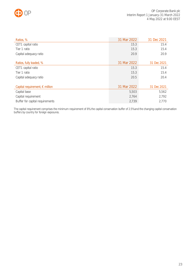

| Ratios, %                               | 31 Mar 2022 | 31 Dec 2021 |
|-----------------------------------------|-------------|-------------|
| CET1 capital ratio                      | 15.3        | 15.4        |
| Tier 1 ratio                            | 15.3        | 15.4        |
| Capital adequacy ratio                  | 20.9        | 20.9        |
|                                         |             |             |
| Ratios, fully loaded, %                 | 31 Mar 2022 | 31 Dec 2021 |
| CET1 capital ratio                      | 15.3        | 15.4        |
| Tier 1 ratio                            | 15.3        | 15.4        |
| Capital adequacy ratio                  | 20.5        | 20.4        |
|                                         |             |             |
| Capital requirement, $\epsilon$ million | 31 Mar 2022 | 31 Dec 2021 |
| Capital base                            | 5,503       | 5,562       |
| Capital requirement                     | 2,764       | 2,792       |
| Buffer for capital requirements         | 2,739       | 2,770       |

The capital requirement comprises the minimum requirement of 8%, the capital conservation buffer of 2.5% and the changing capital conservation buffers by country for foreign exposures.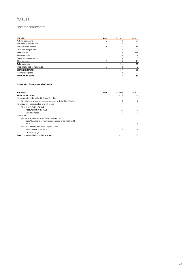### TABLES

### Income statement

| <b>EUR million</b>              | <b>Notes</b> | Q1 2022 | Q1 2021 |
|---------------------------------|--------------|---------|---------|
| Net interest income             | 3            | 94      | 77      |
| Net commissions and fees        | 4            | 3       | 13      |
| Net investment income           | 5            |         | 49      |
| Other operating income          |              | 12      | 11      |
| <b>Total Income</b>             |              | 116     | 150     |
| Personnel costs                 |              | 18      | 16      |
| Depreciation/amortisation       |              | 3       | 3       |
| Other expenses                  | 6            | 70      | 67      |
| <b>Total expenses</b>           |              | 91      | 87      |
| Impairments loss on receivables |              | $-42$   | 2       |
| Earnings before tax             |              | $-17$   | 65      |
| Income tax expense              |              | $-3$    | 12      |
| Profit for the period           |              | -14     | 53      |

#### Statement of comprehensive income

| <b>EUR million</b>                                                 | <b>Notes</b> | 01 2022 | Q1 2021      |
|--------------------------------------------------------------------|--------------|---------|--------------|
| Profit for the period                                              |              | $-14$   | 53           |
| Items that will not be reclassified to profit or loss              |              |         |              |
| Gains/(losses) arising from remeasurement of defined benefit plans |              | 3       | 2            |
| Items that may be reclassified to profit or loss                   |              |         |              |
| Change in fair value reserve                                       |              |         |              |
| Measurement at fair value                                          |              | $-21$   |              |
| Cash flow hedge                                                    |              | $-5$    | $-3$         |
| Income tax                                                         |              |         |              |
| Items that will not be reclassified to profit or loss              |              |         |              |
| Gains/(losses) arising from remeasurement of defined benefit       |              |         |              |
| plans                                                              |              | $-1$    | <sup>0</sup> |
| Items that may be reclassified to profit or loss                   |              |         |              |
| Measurement at fair value                                          |              | 4       | <sup>0</sup> |
| Cash flow hedge                                                    |              |         |              |
| Total comprehensive income for the period                          |              | $-32$   | 53           |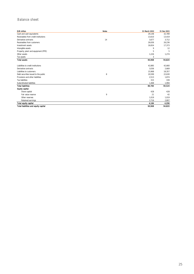### Balance sheet

| <b>EUR million</b>                   | <b>Notes</b> | 31 March 2022 | 31 Dec 2021 |
|--------------------------------------|--------------|---------------|-------------|
| Cash and cash equivalents            |              | 29,148        | 32,789      |
| Receivables from credit institutions |              | 13,610        | 13,419      |
| Derivative contracts                 | 14           | 3,677         | 3,712       |
| Receivables from customers           |              | 26,636        | 26,236      |
| Investment assets                    |              | 16,654        | 17,373      |
| Intangible assets                    |              | 9             | 12          |
| Property, plant and equipment (PPE)  |              | 5             | 5           |
| Other assets                         |              | 1,226         | 1,274       |
| Tax assets                           |              | 3             |             |
| <b>Total assets</b>                  |              | 90,968        | 94,820      |
| Liabilities to credit institutions   |              | 42,885        | 42,660      |
| Derivative contracts                 |              | 3,036         | 2,669       |
| Liabilities to customers             |              | 15,968        | 18,357      |
| Debt securities issued to the public | 8            | 20,599        | 22,630      |
| Provisions and other liabilities     |              | 2,513         | 1,874       |
| <b>Tax liabilities</b>               |              | 315           | 339         |
| Subordinated liabilities             |              | 1,468         | 1,994       |
| <b>Total liabilities</b>             |              | 86,784        | 90,524      |
| <b>Equity capital</b>                |              |               |             |
| Share capital                        |              | 428           | 428         |
| Fair value reserve                   | 9            | 21            | 42          |
| Other reserves                       |              | 1,019         | 1,019       |
| Retained earnings                    |              | 2,716         | 2,807       |
| Total equity capital                 |              | 4.184         | 4,296       |
| Total liabilities and equity capital |              | 90,968        | 94,820      |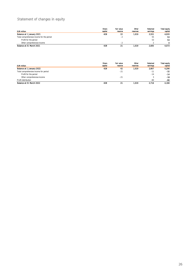## Statement of changes in equity

| <b>EUR million</b>                        | Share<br>capital | <b>Fair value</b><br>reserve | Other<br>reserves | Retained<br>earnings | Total equity<br>capital |
|-------------------------------------------|------------------|------------------------------|-------------------|----------------------|-------------------------|
| Balance at 1 January 2021                 | 428              | 22                           | 1.019             | 2.551                | 4.020                   |
| Total comprehensive income for the period |                  | -2                           |                   | 55                   | 53                      |
| Profit for the period                     |                  |                              |                   | 53                   | 53                      |
| Other comprehensive income                |                  | . .                          |                   |                      | 0                       |
| Balance at 31 March 2021                  | 428              | 21                           | 1,019             | 2,605                | 4.073                   |

| <b>EUR million</b>                    | Share<br>capital | Fair value<br>reserve | Other<br><b>reserves</b> | Retained<br>earnings | <b>Total equity</b><br>capital |
|---------------------------------------|------------------|-----------------------|--------------------------|----------------------|--------------------------------|
| Balance at 1 January 2022             | 428              | 42                    | 1,019                    | 2,807                | 4.296                          |
| Total comprehensive income for period |                  | $-21$                 |                          | $-11$                | $-32$                          |
| Profit for the period                 |                  |                       |                          | $-14$                | $-14$                          |
| Other comprehensive income            |                  | $-21$                 |                          | ×.                   | $-18$                          |
| Profit distribution                   |                  |                       |                          | $-80$                | -80                            |
| Balance at 31 March 2022              | 428              | 21                    | 1.019                    | 2.716                | 4.184                          |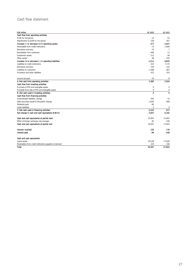## Cash flow statement

| <b>EUR million</b>                                     | Q1 2022             | Q1 2021     |
|--------------------------------------------------------|---------------------|-------------|
| Cash flow from operating activities                    |                     |             |
| Profit for the period                                  | $-14$               | 53          |
| Adjustments to profit for the period                   | 238                 | 267         |
| Increase (-) or decrease (+) in operating assets       | $-377$              | $-1.637$    |
| Receivables from credit institutions                   | $-73$               | $-1,909$    |
| Derivative contracts                                   | $-79$               | $-7$        |
| Receivables from customers                             | $-486$              | 12          |
| Investment assets                                      | 213                 | 48          |
| Other assets                                           | 48                  | 220         |
| Increase (+) or decrease (-) in operating liabilities  | $-1,211$            | 6,829       |
| Liabilities to credit institutions                     | 523                 | 7,170       |
| Derivative contracts                                   | 239                 | 143         |
| Liabilities to customers                               | $-2,388$            | $-687$      |
| Provisions and other liabilities                       | 415                 | 203         |
| Income tax paid                                        | $-19$               | -8          |
| A. Net cash from operating activities                  | $-1,382$            | 5,504       |
| Cash flow from investing activities                    |                     |             |
| Purchase of PPE and intangible assets                  | $\mathsf{O}\xspace$ | $\mathbf 0$ |
| Proceeds from sale of PPE and intangible assets        | $\mathbf 0$         | 0           |
| B. Net cash used in investing activities               | $\mathbf 0$         | $\mathbf 0$ |
| Cash flow from financing activities                    |                     |             |
| Subordinated liabilities, change                       | $-505$              | $-10$       |
| Debt securities issued to the public, change           | $-1,640$            | 688         |
| Dividends paid                                         | -80                 |             |
| Lease liabilities                                      | $\Omega$            | $\mathsf 0$ |
| C. Net cash used in financing activities               | $-2,225$            | 677         |
| Net change in cash and cash equivalents (A+B+C)        | $-3,607$            | 6,182       |
| Cash and cash equivalents at period-start              | 32.891              | 21,842      |
| Effect of foreign exchange rate changes                | 83                  | $-199$      |
| Cash and cash equivalents at period-end                | 29,367              | 27,824      |
| Interest received                                      | 156                 | 178         |
| Interest paid                                          | -99                 | $-168$      |
| Cash and cash equivalents                              |                     |             |
| Liquid assets                                          | 29,148              | 27,628      |
| Receivables from credit institutions payable on demand | 220                 | 196         |
| <b>Total</b>                                           | 29.367              | 27.824      |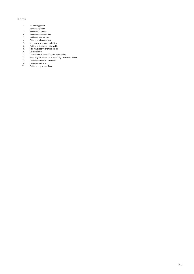#### Notes

- 1. Accounting policies<br>2. Segment reporting
- Segment reporting
- 3. Net interest income<br>4. Net commissions an
- 4. Net commissions and fees<br>5. Net investment income
- 5. Net investment income<br>6. Other operating expense
- 6. Other operating expenses<br>7. Impairment losses on rece
- 7. Impairment losses on receivables<br>8. Debt securities issued to the publi **Bebt securities issued to the public**
- 9. Fair value reserve after income tax<br>10. Collateral given
- 10. Collateral given<br>11. Classification of f
- 11. Classification of financial assets and liabilities<br>12. Recurring fair value measurements by valuati
- 12. Recurring fair value measurements by valuation technique
- 13. Off-balance-sheet commitments
- 14. Derivative contracts
- 15. Related-party transactions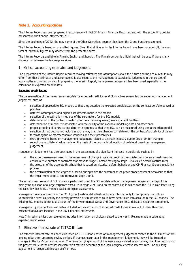### **Note 1. Accounting policies**

The Interim Report has been prepared in accordance with IAS 34 Interim Financial Reporting and with the accounting policies presented in the financial statements 2021.

Since the beginning of 2022, the new name of the Other Operations segment has been the Group Functions segment.

The Interim Report is based on unaudited figures. Given that all figures in the Interim Report have been rounded off, the sum total of individual figures may deviate from the presented sums.

The Interim Report is available in Finnish, English and Swedish. The Finnish version is official that will be used if there is any discrepancy between the language versions.

#### 1. Critical accounting estimates and judgements

The preparation of the Interim Report requires making estimates and assumptions about the future and the actual results may differ from these estimates and assumptions. It also requires the management to exercise its judgement in the process of applying the accounting policies. In preparing the Interim Report, management judgement has been used especially in the calculation of expected credit losses.

#### **Expected credit losses**

The determination of the measurement models for expected credit losses (ECL) involves several factors requiring management judgement, such as:

- selection of appropriate ECL models so that they describe the expected credit losses on the contract portfolio as well as possible
- different assumptions and expert assessments made in the models
- selection of the estimation methods of the parameters for the ECL models
- determination of the contract's maturity for non-maturing loans (revolving credit facilities)
- determination of model risk associated with the quality of the available modelling data and other data
- proper grouping of contracts into different segments so that their ECL can be measured using the appropriate model
- selection of macroeconomic factors in such a way that their changes correlate with the contracts' probability of default
- forecasting future macroeconomic scenarios and their probabilities
- extra provisions based on management judgement related to a certain industry due to Covid-19, for example
- reductions in collateral value made on the basis of the geographical location of collateral based on management judgement.

Management judgement has also been used in the assessment of a significant increase in credit risk, such as in:

- the expert assessment used in the assessment of change in relative credit risk associated with personal customers to ensure a true number of contracts that move to stage 2 before moving to stage 3 (so-called default capture rate)
- the selection of the absolute threshold that is based on historical default behaviour and OP Financial Group's credit risk process
- the determination of the length of a period during which the customer must prove proper payment behaviour so that the impairment stage 3 can improve to stage 2 or 1.

The actual measurement of ECL figures is performed using the ECL models without management judgement, except if it is mainly the question of a large corporate exposure in stage 2 or 3 and on the watch list, in which case the ECL is calculated using the cash flow based ECL method based on expert assessment.

Management overlays directly to the ECL figures (post-model adjustments) are intended only for temporary use until an unpredictable event caused by the overlay provision or circumstance could have been taken into account in the ECL models. The existing ECL models do not take account of the Environmental, Social and Governance (ESG) risks as a separate component.

Management judgement and estimates included in the calculation of expected credit losses in respect of other than that presented above are included in the 2021 financial statements.

Note 7. Impairment loss on receivables includes information on choices related to the war in Ukraine made in calculating expected credit losses.

#### 2. Effective interest rate of TLTRO III loans

The effective interest rate has been calculated on TLTRO loans based on management judgement related to the fulfilment of net lending criteria for upcoming review periods. If changes occur later in this management judgement, they will be treated as changes in the loan's carrying amount. The gross carrying amount of the loan is recalculated in such a way that it corresponds to the present value of the reassessed cash flows that is discounted at the loan's original effective interest rate. The resulting adjustment is recognised through profit or loss.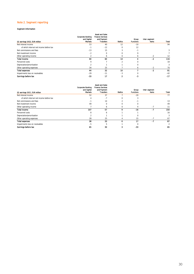#### Note 2. Segment reporting

#### Segment information

| Q1 earnings 2022, EUR million           | <b>Corporate Banking</b><br>and Capital<br><b>Markets</b> | <b>Asset and Sales</b><br><b>Finance Services</b><br>and Payment<br><b>Transfers</b> | <b>Baltics</b> | Group<br><b>Functions</b> | Inter-segment<br>Items | Total |
|-----------------------------------------|-----------------------------------------------------------|--------------------------------------------------------------------------------------|----------------|---------------------------|------------------------|-------|
| Net interest income                     | 53                                                        | 40                                                                                   | 12             | $-10$                     |                        | 94    |
| of which internal net income before tax | $-1$                                                      | $-12$                                                                                | $\Omega$       | 12                        |                        |       |
| Net commissions and fees                | $-13$                                                     | 15                                                                                   |                | $-1$                      |                        | 3     |
| Net investment income                   | $-2$                                                      | $\mathbf 0$                                                                          | $\Omega$       |                           |                        |       |
| Other operating income                  |                                                           | 6                                                                                    | 0              |                           | $-2$                   | 12    |
| <b>Total Income</b>                     | 40                                                        | 60                                                                                   | 14             |                           | -2                     | 116   |
| Personnel costs                         | 9                                                         |                                                                                      |                |                           |                        | 18    |
| Depreciation/amortisation               |                                                           |                                                                                      |                |                           |                        | 3     |
| Other operating expenses                | 34                                                        | 25                                                                                   |                | <sub>n</sub>              | $-2$                   | 70    |
| <b>Total expenses</b>                   | 44                                                        | 32                                                                                   | 10             |                           | $-2$                   | 91    |
| Impairments loss on receivables         | $-29$                                                     | $-11$                                                                                | $-3$           |                           |                        | $-42$ |
| Earnings before tax                     | $-33$                                                     | 17                                                                                   |                | -3                        |                        | $-17$ |

| Q1 earnings 2021, EUR million           | <b>Corporate Banking</b><br>and Capital<br><b>Markets</b> | <b>Asset and Sales</b><br><b>Finance Services</b><br>and Payment<br><b>Transfers</b> | <b>Baltics</b> | Group<br><b>Functions</b> | Inter-segment<br>Items | Total |
|-----------------------------------------|-----------------------------------------------------------|--------------------------------------------------------------------------------------|----------------|---------------------------|------------------------|-------|
| Net interest income                     | 52                                                        | 37                                                                                   |                | $-20$                     |                        | 77    |
| of which internal net income before tax | 4                                                         | $-7$                                                                                 | $\Omega$       |                           |                        |       |
| Net commissions and fees                | $-1$                                                      | 14                                                                                   | ↑              | $-1$                      |                        | 13    |
| Net investment income                   | 49                                                        | $\mathbf 0$                                                                          | 0              |                           |                        | 49    |
| Other operating income                  |                                                           | 6                                                                                    | $\Omega$       |                           | $-7$                   | 11    |
| <b>Total Income</b>                     | 107                                                       | 57                                                                                   | 9              | -16                       | $-7$                   | 150   |
| Personnel costs                         | 8                                                         | 6                                                                                    |                |                           |                        | 16    |
| Depreciation/amortisation               | $\overline{ }$                                            |                                                                                      |                |                           |                        | 3     |
| Other operating expenses                | 28                                                        | 25                                                                                   | 4              | 15                        | $-7$                   | 67    |
| <b>Total expenses</b>                   | 38                                                        | 33                                                                                   | o.             | 17                        | $-7$                   | 87    |
| Impairments loss on receivables         | $-5$                                                      | 5                                                                                    |                |                           |                        | 2     |
| Earnings before tax                     | 65                                                        | 30                                                                                   | З              | $-33$                     |                        | 65    |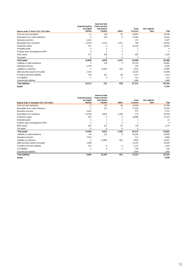| Balance sheet 31 March 2022, EUR million | <b>Corporate Banking</b><br>and Capital<br><b>Markets</b> | <b>Asset and Sales</b><br><b>Finance Services</b><br>and Payment<br><b>Transfers</b> | <b>Baltics</b> | Group<br><b>Functions</b> | Inter-segment<br>Items | Total  |
|------------------------------------------|-----------------------------------------------------------|--------------------------------------------------------------------------------------|----------------|---------------------------|------------------------|--------|
| Cash and cash equivalents                | 11                                                        | 138                                                                                  | 45             | 28,953                    |                        | 29,148 |
| Receivables from credit institutions     | $\mathbf 0$                                               | 229                                                                                  | 0              | 13,381                    |                        | 13,610 |
| Derivative contracts                     | 3,461                                                     |                                                                                      |                | 217                       |                        | 3,677  |
| Receivables from customers               | 15,479                                                    | 8,163                                                                                | 2,557          | 438                       |                        | 26,636 |
| Investment assets                        | 551                                                       | $\Omega$                                                                             | $\Omega$       | 16,103                    |                        | 16,654 |
| Intangible assets                        | 4                                                         | 3                                                                                    |                |                           |                        | 9      |
| Property, plant and equipment (PPE)      | $\Omega$                                                  |                                                                                      | 3              |                           |                        | 5      |
| Other assets                             | 277                                                       | 338                                                                                  | 9              | 602                       |                        | 1,226  |
| Tax assets                               | $\Omega$                                                  | $\Omega$                                                                             | $\Omega$       | 3                         |                        | 3      |
| <b>Total assets</b>                      | 19,869                                                    | 8,878                                                                                | 2,523          | 59,698                    |                        | 90,968 |
| Liabilities to credit institutions       | 3                                                         | 139                                                                                  | $\Omega$       | 42,742                    |                        | 42,885 |
| Derivative contracts                     | 2,794                                                     |                                                                                      |                | 243                       |                        | 3,036  |
| Liabilities to customers                 | 3                                                         | 13,495                                                                               | 556            | 1,915                     |                        | 15,968 |
| Debt securities issued to the public     | 1,343                                                     |                                                                                      |                | 19,255                    |                        | 20,599 |
| Provisions and other liabilities         | 784                                                       | 321                                                                                  | 80             | 1,327                     |                        | 2,513  |
| <b>Tax liabilities</b>                   |                                                           | $\mathbf 0$                                                                          | $\overline{2}$ | 313                       |                        | 315    |
| Subordinated liabilities                 |                                                           |                                                                                      |                | 1,468                     |                        | 1,468  |
| <b>Total liabilities</b>                 | 18,310                                                    | 522                                                                                  | 638            | 67,315                    |                        | 86,784 |
| <b>Equity</b>                            |                                                           |                                                                                      |                |                           |                        | 4,184  |

| Balance sheet 31 December 2021, EUR million | <b>Corporate Banking</b><br>and Capital<br><b>Markets</b> | <b>Asset and Sales</b><br><b>Finance Services</b><br>and Payment<br><b>Transfers</b> | <b>Baltics</b> | Group<br><b>Functions</b> | Inter-segment<br>Items | Total  |
|---------------------------------------------|-----------------------------------------------------------|--------------------------------------------------------------------------------------|----------------|---------------------------|------------------------|--------|
| Cash and cash equivalents                   | 11                                                        | 124                                                                                  | 48             | 32,606                    |                        | 32,789 |
| Receivables from credit institutions        | $-2$                                                      | 133                                                                                  | $-3$           | 13,291                    |                        | 13,419 |
| Derivative contracts                        | 3,441                                                     |                                                                                      |                | 271                       |                        | 3,712  |
| Receivables from customers                  | 15,240                                                    | 8,041                                                                                | 2,385          | 570                       |                        | 26,236 |
| Investment assets                           | 487                                                       | 0                                                                                    | 0              | 16,886                    |                        | 17,373 |
| Intangible assets                           | 5                                                         | 3                                                                                    | $\overline{2}$ |                           |                        | 12     |
| Property, plant and equipment (PPE)         |                                                           |                                                                                      | 3              |                           |                        | 5      |
| Other assets                                | 307                                                       | 321                                                                                  | $-97$          | 743                       |                        | 1,274  |
| Tax assets                                  | $\Omega$                                                  | 0                                                                                    | $\Omega$       | $\Omega$                  |                        |        |
| <b>Total assets</b>                         | 19,490                                                    | 8,622                                                                                | 2,338          | 64,370                    |                        | 94,820 |
| Liabilities to credit institutions          | $-40$                                                     | 151                                                                                  | 0              | 42,549                    |                        | 42,660 |
| Derivative contracts                        | 2,553                                                     |                                                                                      |                | 117                       |                        | 2,669  |
| Liabilities to customers                    | $-1$                                                      | 14,894                                                                               | 663            | 2,801                     |                        | 18,357 |
| Debt securities issued to the public        | 1,406                                                     |                                                                                      |                | 21,225                    |                        | 22,630 |
| Provisions and other liabilities            | 747                                                       | 0                                                                                    | $-4$           | 1.131                     |                        | 1.874  |
| <b>Tax liabilities</b>                      |                                                           | 0                                                                                    | $\overline{2}$ | 336                       |                        | 339    |
| Subordinated liabilities                    |                                                           |                                                                                      |                | 1,994                     |                        | 1,994  |
| <b>Total liabilities</b>                    | 4,665                                                     | 15,045                                                                               | 661            | 70,153                    |                        | 90,524 |
| <b>Equity</b>                               |                                                           |                                                                                      |                |                           |                        | 4,296  |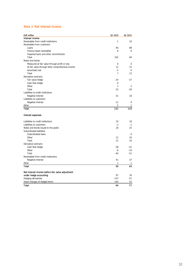#### Note 3. Net interest income

| <b>EUR million</b>                               | 01 2022        | 01 2021        |
|--------------------------------------------------|----------------|----------------|
| Interest income                                  |                |                |
| Receivables from credit institutions             | $\mathbf{1}$   | 10             |
| Receivables from customers                       |                |                |
| Loans                                            | 94             | 88             |
| Finance lease receivables                        | 8              | 6              |
| Impaired loans and other commitments             |                |                |
| Total                                            | 102            | 94             |
| Notes and bonds                                  |                |                |
| Measured at fair value through profit or loss    | $\mathbf 0$    | $\mathsf 0$    |
| At fair value through other comprehensive income | 12             | 13             |
| Amortised cost                                   | $-5$           | 0              |
| Total                                            | $\overline{7}$ | 13             |
| Derivative contracts                             |                |                |
| Fair value hedge                                 | $-24$          | $-27$          |
| Cash flow hedge                                  | 0              |                |
| Other                                            | 1              | $\overline{2}$ |
| Total                                            | $-23$          | $-26$          |
| Liabilities to credit institutions               |                |                |
| Negative interest                                | 31             | 18             |
| Liabilities to customers                         |                |                |
| Negative interest                                | 11             | 9              |
| Other                                            | 2              | 1              |
| Total                                            | 131            | 119            |
| Interest expenses                                |                |                |
| Liabilities to credit institutions               | 10             | 18             |
| Liabilities to customers                         | $-2$           | $-2$           |
| Notes and bonds issued to the public             | 16             | 25             |
| Subordinated liabilities                         |                |                |
| Subordinated loans                               |                | $\Omega$       |
| Other                                            | 12             | 16             |
| Total                                            | 12             | 16             |
| Derivative contracts                             |                |                |
| Cash flow hedge                                  | $-38$          | $-41$          |
| Other                                            | $-6$           | $-10$          |
| Total                                            | $-44$          | $-51$          |
| Receivables from credit institutions             |                |                |
| Negative interest                                | 41             | 37             |
| Other                                            | 1              | -1             |
| <b>Total</b>                                     | 34             | 43             |
| Net interest income before fair value adjustment |                |                |
| under hedge accounting                           | 97             | 76             |
| Hedging derivatives                              | $-147$         | $-51$          |
| Value changes of hedged items                    | 144            | 51             |
| Total                                            | 94             | 77             |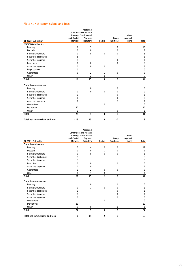### Note 4. Net commissions and fees

|                                | Banking<br>and Capital | Asset and<br>Corporate Sales Finance<br>Services and<br>Payment |                | Group            | Inter-<br>segment |                |
|--------------------------------|------------------------|-----------------------------------------------------------------|----------------|------------------|-------------------|----------------|
| Q1 2022, EUR million           | <b>Markets</b>         | <b>Transfers</b>                                                | <b>Baltics</b> | <b>Functions</b> | <b>Items</b>      | Total          |
| <b>Commission income</b>       |                        |                                                                 |                |                  |                   |                |
| Lending                        | 6                      | 3                                                               | 1              | $\mathbf 0$      |                   | 10             |
| Deposits                       | $\mathbf 0$            | 0                                                               | 1              | 0                |                   | 1              |
| Payment transfers              | $\mathbf 0$            | 8                                                               | $\mathbf 0$    | 0                |                   | 8              |
| Securities brokerage           | 8                      |                                                                 |                |                  |                   | 8              |
| Securities issuance            | 1                      |                                                                 |                | $\Omega$         |                   | 1              |
| Fund fees                      | $\mathbf 0$            | $\mathbf 0$                                                     |                | $\mathbf 0$      |                   | 0              |
| Asset management               | 1                      | $\Omega$                                                        | $\Omega$       |                  |                   | 1              |
| Legal services                 | $\mathbf 0$            |                                                                 |                |                  |                   | 0              |
| Guarantees                     | $\Omega$               | $\overline{2}$                                                  | 1              | $\mathbf 0$      |                   | 3              |
| Other                          |                        | $\overline{2}$                                                  | 0              |                  |                   | $\overline{c}$ |
| Total                          | 16                     | 15                                                              | 3              | $\mathbf 0$      |                   | 34             |
| <b>Commission expenses</b>     |                        |                                                                 |                |                  |                   |                |
| Lending                        |                        | $\mathbf 0$                                                     |                | $\mathbf 0$      |                   | 0              |
| Payment transfers              | $\mathbf 0$            | $\mathbf 0$                                                     | $\mathbf 0$    | 0                |                   | 0              |
| Securities brokerage           | 1                      |                                                                 |                | $\mathbf 0$      |                   | 1              |
| Securities issuance            | $\mathbf 0$            |                                                                 |                | 0                |                   | 0              |
| Asset management               | $\mathbf{0}$           |                                                                 |                | 1                |                   | 1              |
| Guarantees                     |                        |                                                                 | $\mathbf 0$    |                  |                   | 0              |
| Derivatives                    | 27                     |                                                                 |                |                  |                   | 27             |
| Other                          | 1                      |                                                                 |                | $\mathbf 0$      |                   | 1              |
| Total                          | 29                     | 1                                                               | $\Omega$       | 1                |                   | 31             |
| Total net commissions and fees | $-13$                  | 15                                                              | 3              | -1               |                   | 3              |

|                                |                | Asset and                                              |                |                  |         |              |
|--------------------------------|----------------|--------------------------------------------------------|----------------|------------------|---------|--------------|
|                                |                | <b>Corporate Sales Finance</b><br>Banking Services and |                |                  | Inter-  |              |
|                                | and Capital    | Payment                                                |                | Group            | segment |              |
| Q1 2021, EUR million           | <b>Markets</b> | <b>Transfers</b>                                       | <b>Baltics</b> | <b>Functions</b> | items   | Total        |
| <b>Commission income</b>       |                |                                                        |                |                  |         |              |
| Lending                        | 7              | 4                                                      | 0              | $\mathbf 0$      |         | 12           |
| Deposits                       | $\mathbf 0$    | $\mathbf 0$                                            | 1              | $\mathbf 0$      |         | 1            |
| Payment transfers              | $\Omega$       | 8                                                      | 0              | $\mathbf{0}$     |         | 8            |
| Securities brokerage           | 9              |                                                        |                |                  |         | 9            |
| Securities issuance            | 3              |                                                        |                |                  |         | 3            |
| Fund fees                      | 0              | $\mathbf 0$                                            |                | $\mathbf 0$      |         | 0            |
| Asset management               | 1              | 0                                                      |                |                  |         | 1            |
| Guarantees                     | 1              | 2                                                      | $\mathbf 0$    | $\mathbf{0}$     |         | 3            |
| Other                          | 0              | 1                                                      | 0              |                  |         | 1            |
| Total                          | 21             | 15                                                     | $\overline{a}$ | $\mathbf 0$      |         | 37           |
| <b>Commission expenses</b>     |                |                                                        |                |                  |         |              |
| Lending                        |                | $\mathbf 0$                                            |                | $\mathbf 0$      |         | $\mathbf 0$  |
| Payment transfers              | 0              | 1                                                      | 0              | $\mathbf 0$      |         | 1            |
| Securities brokerage           | 1              |                                                        |                | $\Omega$         |         | 1            |
| Securities issuance            | 1              |                                                        |                | $\Omega$         |         | 1            |
| Asset management               | 0              |                                                        |                | $\mathbf{0}$     |         | 0            |
| Guarantees                     |                |                                                        | $\mathbf 0$    |                  |         | $\mathbf{0}$ |
| Derivatives                    | 19             |                                                        |                |                  |         | 19           |
| Other                          | 1              | 0                                                      |                | 0                |         | 1            |
| Total                          | 22             | 1                                                      | 0              | 1                |         | 24           |
| Total net commissions and fees | -1             | 14                                                     | 2              | -1               |         | 13           |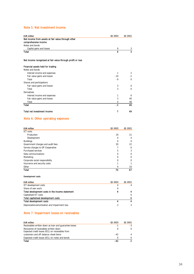### Note 5. Net investment income

| <b>EUR million</b>                                 | 01 2022 | 01 2021 |
|----------------------------------------------------|---------|---------|
| Net income from assets at fair value through other |         |         |
| comprehensive income                               |         |         |
| Notes and bonds                                    |         |         |
| Capital gains and losses                           | Q       | 3       |
| Total                                              | ٥       | 3       |
|                                                    |         |         |

#### Net income recognised at fair value through profit or loss

| Financial assets held for trading |       |             |
|-----------------------------------|-------|-------------|
| Notes and bonds                   |       |             |
| Interest income and expenses      | 1     | 2           |
| Fair value gains and losses       | $-10$ | $-2$        |
| Total                             | $-9$  | 0           |
| Shares and participations         |       |             |
| Fair value gains and losses       | 3     | $\mathbf 0$ |
| Total                             | 3     | $\mathbf 0$ |
| Derivatives                       |       |             |
| Interest income and expenses      |       | 6           |
| Fair value gains and losses       | 3     | 40          |
| Total                             | 4     | 46          |
| Total                             | -2    | 46          |
| Total net investment income       |       | 49          |

## Note 6. Other operating expenses

| <b>EUR million</b>                | Q1 2022        | 01 2021  |
|-----------------------------------|----------------|----------|
| ICT costs                         |                |          |
| Production                        | 19             | 21       |
| Development                       | 4              | 4        |
| <b>Buildings</b>                  | 0              | $\Omega$ |
| Government charges and audit fees | 30             | 22       |
| Service charges to OP Cooperative |                | 6        |
| Purchased services                | 5              | 3        |
| Data communications               | $\Omega$       | $\Omega$ |
| Marketing                         | $\Omega$       | $\Omega$ |
| Corporate social responsibility   | $\Omega$       | $\Omega$ |
| Insurance and security costs      |                |          |
| Other                             | $\overline{4}$ | 10       |
| Total                             | 70             | 67       |

#### Development costs

| <b>EUR million</b>                              | 01 2022 | 01 2021  |
|-------------------------------------------------|---------|----------|
| ICT development costs                           | 4       | 4        |
| Share of own work                               |         |          |
| Total development costs in the income statement | 4       | 4        |
| Capitalised ICT costs                           |         | $\Omega$ |
| Total capitalised development costs             |         | O        |
| Total development costs                         |         | 4        |
| Depreciation/amortisation and impairment loss   |         | 3        |
|                                                 |         |          |

### Note 7. Impairment losses on receivables

| <b>EUR million</b>                                                                         | 01 2022 | 01 2021 |
|--------------------------------------------------------------------------------------------|---------|---------|
| Receivables written down as loan and quarantee losses                                      | -1      | -3      |
| Recoveries of receivables written down<br>Expected credit losses (ECL) on receivables from |         |         |
| customers and off-balance-sheet items                                                      | $-42$   |         |
| Expected credit losses (ECL) on notes and bonds                                            |         |         |
| Total                                                                                      | $-42$   |         |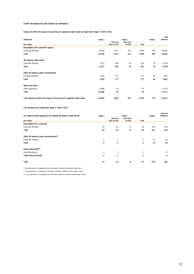Credit risk exposures and related loss allowance

Exposures within the scope of accounting for expected credit losses by impairment stage 31 March 2022

|                                                                           |         |                         |                     |       |         | Total    |
|---------------------------------------------------------------------------|---------|-------------------------|---------------------|-------|---------|----------|
| <b>Exposures</b>                                                          | Stage 1 |                         | Stage 2             |       | Stage 3 | exposure |
| <b>EUR million</b>                                                        |         | Not more<br>than 30 DPD | More than<br>30 DPD | Total |         |          |
| Receivables from customers (gross)                                        |         |                         |                     |       |         |          |
| Corporate Banking                                                         | 24,638  | 1,457                   | 212                 | 1,669 | 595     | 26,902   |
| Total                                                                     | 24.638  | 1,457                   | 212                 | 1,669 | 595     | 26,902   |
| Off-balance-sheet limits                                                  |         |                         |                     |       |         |          |
| Corporate Banking                                                         | 4,127   | 280                     | 56                  | 335   | 76      | 4,539    |
| Total                                                                     | 4.127   | 280                     | 56                  | 335   | 76      | 4,539    |
| Other off-balance-sheet commitments                                       |         |                         |                     |       |         |          |
| Corporate Banking                                                         | 7,603   | 177                     |                     | 177   | 82      | 7,861    |
| Total                                                                     | 7.603   | 177                     |                     | 177   | 82      | 7.861    |
| Notes and bonds                                                           |         |                         |                     |       |         |          |
| Other Operations                                                          | 12,688  | 24                      |                     | 24    |         | 12,711   |
| <b>Total</b>                                                              | 12,688  | 24                      |                     | 24    |         | 12,711   |
| Total exposures within the scope of accounting for expected credit losses | 49.056  | 1,938                   | 267                 | 2,205 | 753     | 52,013   |

Loss allowance by impairment stage 31 March 2022

| On-balance-sheet exposures and related off-balance-sheet limits* | Stage 1 |             | Stage 2       |       | Stage 3 | <b>Total loss</b><br>allowance |
|------------------------------------------------------------------|---------|-------------|---------------|-------|---------|--------------------------------|
|                                                                  |         | Not more    | More than     |       |         |                                |
| <b>EUR million</b>                                               |         | than 30 DPD | <b>30 DPD</b> | Total |         |                                |
| Receivables from customers                                       |         |             |               |       |         |                                |
| Corporate Banking                                                | $-23$   | $-21$       | $-8$          | $-29$ | $-301$  | $-353$                         |
| Total                                                            | $-23$   | $-21$       | -8            | -29   | -301    | $-353$                         |
| Other off-balance-sheet commitments**                            |         |             |               |       |         |                                |
| Corporate Banking                                                | $-2$    | $-2$        |               | $-2$  | $-22$   | $-26$                          |
| Total                                                            | $-2$    | $-2$        |               | $-2$  | $-22$   | $-26$                          |
| Notes and bonds***                                               |         |             |               |       |         |                                |
| Other Operations                                                 | $-1$    | $-1$        |               | $-1$  |         | $-2$                           |
| <b>Total notes and bonds</b>                                     | $-1$    | $-1$        |               | $-1$  |         | $-2$                           |
| Total                                                            | $-27$   | $-24$       | -8            | $-31$ | $-323$  | $-381$                         |

\* Loss allowance is recognised as one component to deduct the balance sheet item.

\*\* Loss allowance is recognised in provisions and other liabilities in the balance sheet.

\*\*\* Loss allowance is recognised in the fair value reserve in other comprehensive income.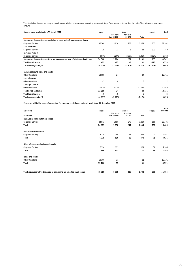The table below shows a summary of loss allowance relative to the exposure amount by impairment stage. The coverage ratio describes the ratio of loss allowance to exposure amount.

| Summary and key indicators 31 March 2022                                       |          |                         | Stage 2             |             | Stage 3   | Total    |
|--------------------------------------------------------------------------------|----------|-------------------------|---------------------|-------------|-----------|----------|
|                                                                                |          | Not more<br>than 30 DPD | More than<br>30 DPD | Total       |           |          |
| Receivables from customers; on-balance-sheet and off-balance-sheet items       |          |                         |                     |             |           |          |
| Corporate Banking                                                              | 36,368   | 1.914                   | 267                 | 2.181       | 753       | 39,302   |
| Loss allowance                                                                 |          |                         |                     |             |           |          |
| Corporate Banking                                                              | $-25$    | $-23$                   | $-8$                | $-31$       | $-323$    | $-379$   |
| Coverage ratio, %                                                              |          |                         |                     |             |           |          |
| Corporate Banking                                                              | $-0.07%$ | $-1.20%$                | $-2.90%$            | $-1.41%$    | $-42.92%$ | $-0.96%$ |
| Receivables from customers; total on-balance-sheet and off-balance-sheet items | 36.368   | 1,914                   | 267                 | 2,181       | 753       | 39,302   |
| <b>Total loss allowance</b>                                                    | $-25$    | $-23$                   | -8                  | $-31$       | $-323$    | $-379$   |
| Total coverage ratio, %                                                        | $-0.07%$ | $-1.20%$                | $-2.90%$            | $-1.41%$    | $-42.92%$ | $-0.96%$ |
| Carrying amount, notes and bonds                                               |          |                         |                     |             |           |          |
| Other Operations                                                               | 12,688   | 24                      |                     | 24          |           | 12,711   |
| Loss allowance                                                                 |          |                         |                     |             |           |          |
| Other Operations                                                               | $-1$     | $\mathbf 0$             |                     | $\mathbf 0$ |           | $-2$     |
| Coverage ratio, %                                                              |          |                         |                     |             |           |          |
| Other Operations                                                               | $-0.01%$ | $-2.17%$                |                     | $-2.17%$    |           | $-0.02%$ |
| Total notes and bonds                                                          | 12,688   | 24                      |                     | 24          |           | 12,711   |
| <b>Total loss allowance</b>                                                    | $-1$     | -1                      |                     | $-1$        |           | $-2$     |
| Total coverage ratio, %                                                        | $-0.01%$ | $-2.17%$                |                     | $-2.17%$    |           | $-0.02%$ |

Exposures within the scope of accounting for expected credit losses by impairment stage 31 December 2021

|                                                                           |         |                         |                     |       |         | Total    |
|---------------------------------------------------------------------------|---------|-------------------------|---------------------|-------|---------|----------|
| <b>Exposures</b>                                                          | Stage 1 |                         | Stage 2             |       | Stage 3 | exposure |
| <b>EUR million</b>                                                        |         | Not more<br>than 30 DPD | More than<br>30 DPD | Total |         |          |
| Receivables from customers (gross)                                        |         |                         |                     |       |         |          |
| Corporate Banking                                                         | 24,673  | 1,058                   | 247                 | 1,304 | 508     | 26,486   |
| Total                                                                     | 24.673  | 1,058                   | 247                 | 1,304 | 508     | 26,486   |
| Off-balance-sheet limits                                                  |         |                         |                     |       |         |          |
| Corporate Banking                                                         | 4,279   | 190                     | 88                  | 278   | 75      | 4,631    |
| Total                                                                     | 4,279   | 190                     | 88                  | 278   | 75      | 4,631    |
| Other off-balance-sheet commitments                                       |         |                         |                     |       |         |          |
| Corporate Banking                                                         | 7,196   | 121                     |                     | 121   | 78      | 7,396    |
| Total                                                                     | 7.196   | 121                     |                     | 121   | 78      | 7,396    |
| Notes and bonds                                                           |         |                         |                     |       |         |          |
| Other Operations                                                          | 13,160  | 31                      |                     | 31    |         | 13,191   |
| <b>Total</b>                                                              | 13,160  | 31                      |                     | 31    |         | 13.191   |
| Total exposures within the scope of accounting for expected credit losses | 49.309  | 1,399                   | 335                 | 1,733 | 661     | 51,704   |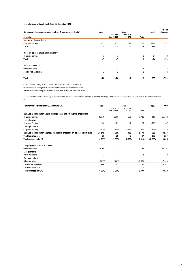#### Loss allowance by impairment stage 31 December 2021

| On-balance-sheet exposures and related off-balance-sheet limits* |         |             | Stage 2   |       | Stage 3 | <b>Total loss</b><br>allowance |
|------------------------------------------------------------------|---------|-------------|-----------|-------|---------|--------------------------------|
|                                                                  | Stage 1 | Not more    | More than |       |         |                                |
| <b>EUR million</b>                                               |         | than 30 DPD | 30 DPD    | Total |         |                                |
| Receivables from customers                                       |         |             |           |       |         |                                |
| Corporate Banking                                                | $-23$   | $-23$       | $-2$      | $-25$ | $-269$  | $-317$                         |
| Total                                                            | $-23$   | $-23$       | $-2$      | $-25$ | $-269$  | $-317$                         |
| Other off-balance-sheet commitments**                            |         |             |           |       |         |                                |
| Corporate Banking                                                | $-3$    | $-3$        |           | $-3$  | $-14$   | $-20$                          |
| <b>Total</b>                                                     | -3      | -3          |           | $-3$  | $-14$   | $-20$                          |
| Notes and bonds***                                               |         |             |           |       |         |                                |
| Other Operations                                                 | $-2$    | $-1$        |           | $-1$  |         | $-2$                           |
| Total notes and bonds                                            | $-2$    | -1          |           | $-1$  |         | $-2$                           |
| <b>Total</b>                                                     | $-28$   | $-26$       | $-2$      | $-28$ | $-283$  | -339                           |

\* Loss allowance is recognised as one component to deduct the balance sheet item.

\*\* Loss allowance is recognised in provisions and other liabilities in the balance sheet.

\*\*\* Loss allowance is recognised in the fair value reserve in other comprehensive income.

The table below shows a summary of loss allowance relative to the exposure amount by impairment stage. The coverage ratio describes the ratio of loss allowance to exposure amount.

| Summary and key indicators 31 December 2021                                    | Stage 1  |                         | Stage 2             |              | Stage 3   | Total    |
|--------------------------------------------------------------------------------|----------|-------------------------|---------------------|--------------|-----------|----------|
|                                                                                |          | Not more<br>than 30 DPD | More than<br>30 DPD | <b>Total</b> |           |          |
| Receivables from customers; on-balance-sheet and off-balance-sheet items       |          |                         |                     |              |           |          |
| Corporate Banking                                                              | 36.149   | 1.368                   | 335                 | 1,703        | 661       | 38,513   |
| Loss allowance                                                                 |          |                         |                     |              |           |          |
| Corporate Banking                                                              | $-26$    | $-25$                   | $-2$                | $-27$        | $-283$    | $-337$   |
| Coverage ratio, %                                                              |          |                         |                     |              |           |          |
| Corporate Banking                                                              | $-0.07%$ | $-1.85%$                | $-0.63%$            | $-1.61%$     | $-42.83%$ | $-0.88%$ |
| Receivables from customers; total on-balance-sheet and off-balance-sheet items | 36,149   | 1,368                   | 335                 | 1,703        | 661       | 38,513   |
| <b>Total loss allowance</b>                                                    | $-26$    | $-25$                   | $-2$                | $-27$        | $-283$    | -337     |
| Total coverage ratio, %                                                        | $-0.07%$ | $-1.85%$                | $-0.63%$            | $-1.61%$     | $-42.83%$ | $-0.88%$ |
| Carrying amount, notes and bonds                                               |          |                         |                     |              |           |          |
| Other Operations                                                               | 13,160   | 31                      |                     | 31           |           | 13,191   |
| Loss allowance                                                                 |          |                         |                     |              |           |          |
| Other Operations                                                               | $-2$     | $-1$                    |                     | $-1$         |           | $-2$     |
| Coverage ratio, %                                                              |          |                         |                     |              |           |          |
| Other Operations                                                               | $-0.01%$ | $-2.00%$                |                     | $-2.00%$     |           | $-0.02%$ |
| <b>Total notes and bonds</b>                                                   | 13.160   | 31                      |                     | 31           |           | 13,191   |
| <b>Total loss allowance</b>                                                    | $-2$     | $-1$                    |                     | -1           |           | $-2$     |
| Total coverage ratio, %                                                        | $-0.01%$ | $-2.00%$                |                     | $-2.00%$     |           | $-0.02%$ |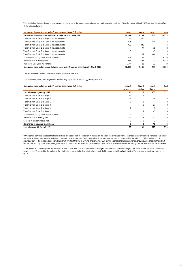The table below shows a change in exposures within the scope of the measurement of expected credit losses by impairment Stage for January–March 2022 resulting from the effect of the following factors:

| Receivables from customers and off-balance-sheet items. EUR million                    | Stage 1  | Stage 2 | Stage 3 | Total    |
|----------------------------------------------------------------------------------------|----------|---------|---------|----------|
| Receivables from customers; off-balance-sheet items 1 January 2022                     | 36.149   | 1,703   | 661     | 38.513   |
| Transfers from Stage 1 to Stage 2, incl. repayments                                    | $-1.032$ | 1.020   |         | $-12$    |
| Transfers from Stage 1 to Stage 3, incl. repayments                                    | $-105$   |         | 104     | $-2$     |
| Transfers from Stage 2 to Stage 1, incl. repayments                                    | 432      | $-446$  |         | $-14$    |
| Transfers from Stage 2 to Stage 3, incl. repayments                                    |          | $-77$   | 75      | $-2$     |
| Transfers from Stage 3 to Stage 1, incl. repayments                                    | 5        |         | $-5$    | $\Omega$ |
| Transfers from Stage 3 to Stage 2, incl. repayments                                    |          | 37      | $-40$   | $-3$     |
| Increases due to origination and acquisition                                           | 1.709    | 23      | 3       | 1.735    |
| Decreases due to derecognition                                                         | $-1.564$ | $-46$   | $-23$   | $-1.633$ |
| Unchanged Stage, incl. repayments                                                      | $774*$   | $-32$   | $-22$   | 720      |
| Receivables from customers; on-balance-sheet and off-balance-sheet items 31 March 2022 | 36.368   | 2.181   | 753     | 39.302   |

\* Stage 1 positive net change is related to increases in off-balance-sheet limits.

The table below shows the change in loss allowance by impairment stage during January–March 2022.

| Receivables from customers and off-balance-sheet items, EUR million | Stage 1   | Stage 2     | Stage 3  | Total |
|---------------------------------------------------------------------|-----------|-------------|----------|-------|
|                                                                     | 12 months | Lifetime    | Lifetime |       |
| Loss allowance 1 January 2022                                       | 26        | 27          | 283      | 337   |
| Transfers from Stage 1 to Stage 2                                   | $-1$      | 8           |          |       |
| Transfers from Stage 1 to Stage 3                                   | $-3$      |             | 38       | 35    |
| Transfers from Stage 2 to Stage 1                                   | 0         | $-2$        |          | $-2$  |
| Transfers from Stage 2 to Stage 3                                   |           | $-9$        | 17       | 8     |
| Transfers from Stage 3 to Stage 1                                   | 0         |             | $-1$     | $-1$  |
| Transfers from Stage 3 to Stage 2                                   |           |             | $-5$     | $-4$  |
| Increases due to origination and acquisition                        |           | $\mathbf 0$ |          | 3     |
| Decreases due to derecognition                                      | $-2$      | $-1$        | $-7$     | $-10$ |
| Changes in risk parameters (net)                                    | 3         | 6           | $-3$     | 6     |
| Net change in expected credit losses                                | -1        | 3           | 40       | 42    |
| Loss allowance 31 March 2022                                        | 25        | 31          | 323      | 379   |

OP Corporate Bank has assessed the financial effects of Russia's war of aggression in Ukraine on the credit risk of its customers. The effects arise, for example, from business closure<br>and a rise in energy, raw material an

At the end of 2021, OP Corporate Bank made a 6-million euro additional ECL provision concerning CRE backed loans nearest to stage 3. The provision was aimed at anticipating growth in the ECL caused by the update of the collateral assessment of riskier collateral real estate holdings and probable default statutes. The provision was not reversed during Q1/2022.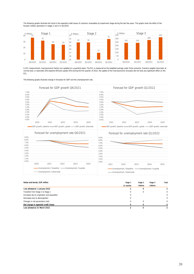

The following graphs illustrate the trend in the expected credit losses of customer receivables by impairment stage during the last few years. The graphs show the effect of the Russian military operations in stages 2 and 3 in Q1/2022.

In ECL measurement, macroeconomic factors are updated on a quarterly basis. The ECL is measured as the weighted average under three scenarios. Scenario weights have been at<br>normal level, or downside 20%, baseline 60% and u ECL.

The following graphs illustrate change in forecasts for GDP and the unemployment rate.



| Notes and bonds, EUR million                 | Stage 1   | Stage 2  | Stage 3  | Total        |
|----------------------------------------------|-----------|----------|----------|--------------|
|                                              | 12 months | Lifetime | Lifetime |              |
| Loss allowance 1 January 2022                |           | 0        |          | 2            |
| Transfers from Stage 2 to Stage 1            | 0         | 0        |          | $\Omega$     |
| Increases due to origination and acquisition | 0         |          |          | $\Omega$     |
| Decreases due to derecognition               | 0         |          |          | $\Omega$     |
| Changes in risk parameters (net)             | 0         | 0        |          | $\Omega$     |
| Net change in expected credit losses         |           | 0        |          | $\mathbf{o}$ |
| Loss allowance 31 March 2022                 |           | 0        |          |              |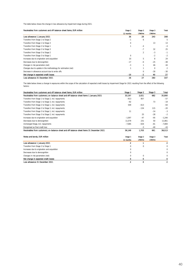The table below shows the change in loss allowance by impairment stage during 2021.

| Receivables from customers and off-balance-sheet items, EUR million | Stage 1         | Stage 2  | Stage 3         | Total |
|---------------------------------------------------------------------|-----------------|----------|-----------------|-------|
|                                                                     | 12 months       | Lifetime | <b>Lifetime</b> |       |
| Loss allowance 1 January 2021                                       | 36              | 29       | 243             | 308   |
| Transfers from Stage 1 to Stage 2                                   | $-1$            | 6        |                 | 5     |
| Transfers from Stage 1 to Stage 3                                   | 0               |          | 13              | 13    |
| Transfers from Stage 2 to Stage 1                                   |                 | $-4$     |                 | $-4$  |
| Transfers from Stage 2 to Stage 3                                   |                 | $-7$     | 32              | 25    |
| Transfers from Stage 3 to Stage 2                                   |                 | 2        | $-3$            | $-1$  |
| Transfers from Stage 3 to Stage 1                                   | $\Omega$        |          | $-2$            | $-2$  |
| Increases due to origination and acquisition                        | 10 <sup>1</sup> | 5        | 8               | 24    |
| Decreases due to derecognition                                      | $-17$           | -6       | $-25$           | $-48$ |
| Changes in risk parameters (net)                                    | $-3$            |          | 46              | 44    |
| Changes due to update in the methodology for estimation (net)       |                 |          | $\mathbf 0$     | 2     |
| Decrease in allowance account due to write-offs                     |                 | 0        | $-30$           | $-30$ |
| Net change in expected credit losses                                | -10             | -2       | 40              | 27    |
| Loss allowance 31 December 2021                                     | 26              | 27       | 283             | 337   |

The table below shows a change in exposures within the scope of the calculation of expected credit losses by impairment Stage for 2021 resulting from the effect of the following factors:

| Receivables from customers and off-balance-sheet items. EUR million                       | Stage 1        | Stage 2     | Stage 3  | Total          |
|-------------------------------------------------------------------------------------------|----------------|-------------|----------|----------------|
| Receivables from customers; on-balance-sheet and off-balance-sheet items 1 January 2021   | 33.197         | 2.021       | 682      | 35.900         |
| Transfers from Stage 1 to Stage 2, incl. repayments                                       | $-913$         | 857         |          | $-57$          |
| Transfers from Stage 1 to Stage 3, incl. repayments                                       | $-92$          |             | 73       | $-19$          |
| Transfers from Stage 2 to Stage 1, incl. repayments                                       | 549            | $-613$      |          | $-64$          |
| Transfers from Stage 2 to Stage 3, incl. repayments                                       |                | $-134$      | 115      | $-20$          |
| Transfers from Stage 3 to Stage 1, incl. repayments                                       | 11             |             | $-14$    | $-3$           |
| Transfers from Stage 3 to Stage 2, incl. repayments                                       |                | 25          | $-28$    | $-2$           |
| Increases due to origination and acquisition                                              | $-1.097$       | $-47$       | $-95$    | $-1,240$       |
| Decreases due to derecognition                                                            | 11.579         | 231         | 50       | 11.861         |
| Unchanged Stage, incl. repayments                                                         | $-7.085$       | $-634$      | $-81$    | $-7,800$       |
| Recognised as final credit loss                                                           |                | $-3$        | $-40$    | $-43$          |
| Receivables from customers; on-balance-sheet and off-balance-sheet items 31 December 2021 | 36.149         | 1.703       | 661      | 38.513         |
| Notes and bonds, EUR million                                                              | Stage 1        | Stage 2     | Stage 3  | Total          |
|                                                                                           | 12 months      | Lifetime    | Lifetime |                |
| Loss allowance 1 January 2021                                                             | 2              |             |          | $\overline{2}$ |
| Transfers from Stage 2 to Stage 1                                                         | $\Omega$       | $\Omega$    |          | 0              |
| Increases due to origination and acquisition                                              | 0              |             |          | 0              |
| Decreases due to derecognition                                                            | 0              |             |          | $\Omega$       |
| Changes in risk parameters (net)                                                          | 0              | $\mathbf 0$ |          | 0              |
| Net change in expected credit losses                                                      | 0              | 0           |          | 0              |
| Loss allowance 31 December 2021                                                           | $\overline{a}$ | $\mathbf 0$ |          | 2              |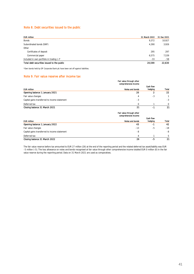#### Note 8. Debt securities issued to the public

| <b>EUR million</b>                           | 31 March 2022 | 31 Dec 2021 |
|----------------------------------------------|---------------|-------------|
| Bonds                                        | 9.372         | 10,927      |
| Subordinated bonds (SNP)                     | 4.390         | 3.926       |
| Other                                        |               |             |
| Certificates of deposit                      | 295           | 297         |
| Commercial paper                             | 6.575         | 7.539       |
| Included in own portfolio in trading $(-)^*$ | $-33$         | $-58$       |
| Total debt securities issued to the public   | 20.599        | 22.630      |

\*Own bonds held by OP Corporate Bank plc have been set off against liabilities.

#### Note 9. Fair value reserve after income tax

|                                               | Fair value through other<br>comprehensive income |           |          |
|-----------------------------------------------|--------------------------------------------------|-----------|----------|
|                                               |                                                  | Cash flow |          |
| <b>EUR million</b>                            | Notes and bonds                                  | hedging   | Total    |
| Opening balance 1 January 2021                | 20                                               |           | 22       |
| Fair value changes                            | 4                                                | -3        |          |
| Capital gains transferred to income statement | -3                                               |           | -3       |
| Deferred tax                                  |                                                  |           | $\Omega$ |
| Closing balance 31 March 2021                 | 21                                               | $\sim$    | 21       |

|                                               | Fair value through other<br>comprehensive income |           |             |
|-----------------------------------------------|--------------------------------------------------|-----------|-------------|
|                                               |                                                  | Cash flow |             |
| <b>EUR million</b>                            | Notes and bonds                                  | hedging   | Total       |
| Opening balance 1 January 2022                | 43                                               | -1        | 42          |
| Fair value changes                            | $-13$                                            | -5        | $-18$       |
| Capital gains transferred to income statement | -8                                               |           | -8          |
| Deferred tax                                  | 4                                                |           | $5^{\circ}$ |
| Closing balance 31 March 2022                 | 26                                               | -5        | 21          |

The fair value reserve before tax amounted to EUR 27 million (26) at the end of the reporting period and the related deferred tax asset/liability was EUR –5 million (–5). The loss allowance on notes and bonds recognised at fair value through other comprehensive income totalled EUR 0 million (0) in the fair value reserve during the reporting period. Data on 31 March 2021 are used as comparatives.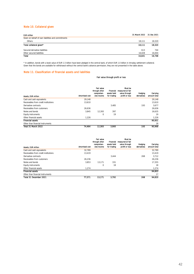#### Note 10. Collateral given

| <b>EUR million</b>                                 | 31 March 2022 | 31 Dec 2021 |
|----------------------------------------------------|---------------|-------------|
| Given on behalf of own liabilities and commitments |               |             |
| Others                                             | 18.111        | 18.320      |
| Total collateral given*                            | 18.111        | 18.320      |
| Secured derivative liabilities                     | 613           | 744         |
| Other secured liabilities                          | 16.028        | 16,004      |
| Total                                              | 16.641        | 16.748      |

\* In addition, bonds with a book value of EUR 1.5 billion have been pledged in the central bank, of which EUR 1.0 billion in intraday settlement collateral. Given that the bonds are available for withdrawal without the central bank's advance permission, they are not presented in the table above.

#### Note 11. Classification of financial assets and liabilities

#### Fair value through profit or loss

| Assets, EUR million                  | Amortised cost | Fair value<br>through other<br>comprehen-<br>sive income | Financial<br>assets held<br>for trading | Must be<br>measured at fair<br>value through<br>profit or loss | Hedaina<br>derivatives | Carrying<br>amount total |
|--------------------------------------|----------------|----------------------------------------------------------|-----------------------------------------|----------------------------------------------------------------|------------------------|--------------------------|
| Cash and cash equivalents            | 29.148         |                                                          |                                         |                                                                |                        | 29.148                   |
| Receivables from credit institutions | 13.610         |                                                          |                                         |                                                                |                        | 13.610                   |
| Derivative contracts                 |                |                                                          | 3.485                                   |                                                                | 193                    | 3,677                    |
| Receivables from customers           | 26.636         |                                                          |                                         |                                                                |                        | 26.636                   |
| Notes and bonds                      | 3.845          | 12.393                                                   | 397                                     |                                                                |                        | 16.635                   |
| Equity instruments                   |                | 0                                                        | 19                                      |                                                                |                        | 19                       |
| Other financial assets               | 1,226          |                                                          |                                         |                                                                |                        | 1,226                    |
| <b>Financial assets</b>              |                |                                                          |                                         |                                                                |                        | 90,951                   |
| Other than financial instruments     |                |                                                          |                                         |                                                                |                        | 18                       |
| Total 31 March 2022                  | 74.464         | 12.393                                                   | 3,900                                   |                                                                | 193                    | 90.968                   |

| Assets, EUR million                  | Amortised cost | Fair value<br>through other<br>comprehen-<br>sive income | <b>Financial</b><br>assets held<br>for trading | Must be<br>measured at fair<br>value through<br>profit or loss | Hedaina<br>derivatives | Carrying<br>amount total |
|--------------------------------------|----------------|----------------------------------------------------------|------------------------------------------------|----------------------------------------------------------------|------------------------|--------------------------|
| Cash and cash equivalents            | 32.789         |                                                          |                                                |                                                                |                        | 32,789                   |
|                                      |                |                                                          |                                                |                                                                |                        |                          |
| Receivables from credit institutions | 13.419         |                                                          |                                                |                                                                |                        | 13.419                   |
| Derivative contracts                 |                |                                                          | 3.444                                          |                                                                | 268                    | 3.712                    |
| Receivables from customers           | 26.236         |                                                          |                                                |                                                                |                        | 26,236                   |
| Notes and bonds                      | 3.853          | 13.171                                                   | 331                                            |                                                                |                        | 17.355                   |
| Equity instruments                   |                | 0                                                        | 18                                             |                                                                |                        | 18                       |
| Other financial assets               | 1.274          |                                                          |                                                |                                                                |                        | 1,274                    |
| <b>Financial assets</b>              |                |                                                          |                                                |                                                                |                        | 94.803                   |
| Other than financial instruments     |                |                                                          |                                                |                                                                |                        | 17                       |
| Total 31 December 2021               | 77.571         | 13.171                                                   | 3.792                                          |                                                                | 268                    | 94.820                   |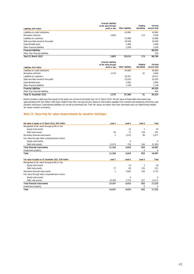| Liabilities, EUR million             | <b>Financial liabilities</b><br>at fair value through<br>profit or loss | Other liabilities | Hedging<br>derivatives | Carrying<br>amount total |
|--------------------------------------|-------------------------------------------------------------------------|-------------------|------------------------|--------------------------|
| Liabilities to credit institutions   |                                                                         | 42.885            |                        | 42.885                   |
| Derivative contracts                 | 2.863                                                                   |                   | 174                    | 3.036                    |
| Liabilities to customers             |                                                                         | 15.968            |                        | 15.968                   |
| Debt securities issued to the public |                                                                         | 20.599            |                        | 20.599                   |
| Subordinated loans                   |                                                                         | 1.468             |                        | 1.468                    |
| Other financial liabilities          |                                                                         | 2.299             |                        | 2.299                    |
| <b>Financial liabilities</b>         |                                                                         |                   |                        | 86.255                   |
| Other than financial liabilities     |                                                                         |                   |                        | 529                      |
| Total 31 March 2022                  | 2.863                                                                   | 83.219            | 174                    | 86.784                   |

| Liabilities, EUR million             | <b>Financial liabilities</b><br>at fair value through<br>profit or loss | Other liabilities | Hedging<br>derivatives | Carrying<br>amount total |
|--------------------------------------|-------------------------------------------------------------------------|-------------------|------------------------|--------------------------|
| Liabilities to credit institutions   |                                                                         | 42.660            |                        | 42.660                   |
| Derivative contracts                 | 2.579                                                                   |                   | 91                     | 2.669                    |
| Liabilities to customers             |                                                                         | 18.357            |                        | 18.357                   |
| Debt securities issued to the public |                                                                         | 22.630            |                        | 22,630                   |
| Subordinated loans                   |                                                                         | 1.994             |                        | 1.994                    |
| Other financial liabilities          |                                                                         | 1.748             |                        | 1.748                    |
| <b>Financial liabilities</b>         |                                                                         |                   |                        | 90.059                   |
| Other than financial liabilities     |                                                                         |                   |                        | 465                      |
| Total 31 December 2021               | 2.579                                                                   | 87.389            | 91                     | 90.524                   |

Bonds included in debt securities issued to the public are carried at amortised cost. On 31 March 2022, the fair value of these debt instruments was approximately EUR 320 million (190) lower (higher) than their carrying amount, based on information available from markets and employing commonly used valuation techniques. Subordinated liabilities are carried at amortised cost. Their fair values are higher than their amortised costs, but determining reliable fair values involves uncertainty.

### Note 12. Recurring fair value measurements by valuation technique

| Fair value of assets on 31 March 2022, EUR million    | Level 1        | Level 2  | Level 3 | <b>Total</b>   |
|-------------------------------------------------------|----------------|----------|---------|----------------|
| Recognised at fair value through profit or loss       |                |          |         |                |
| <b>Equity instruments</b>                             |                | 14       | 5       | 19             |
| Debt instruments                                      | 84             | 75       | 238     | 397            |
| Derivative financial instruments                      | $\overline{2}$ | 3,579    | 96      | 3,677          |
| Fair value through other comprehensive income         |                |          |         |                |
| <b>Equity instruments</b>                             |                | $\Omega$ |         | $\Omega$       |
| Debt instruments                                      | 11,074         | 756      | 564     | 12,393         |
| <b>Total financial instruments</b>                    | 11.160         | 4.424    | 903     | 16,487         |
| Investment property                                   |                |          | 0       | $\overline{0}$ |
| Total                                                 | 11,160         | 4,424    | 903     | 16,487         |
| Fair value of assets on 31 December 2021, EUR million | Level 1        | Level 2  | Level 3 | <b>Total</b>   |
| Recognised at fair value through profit or loss       |                |          |         |                |
| Equity instruments                                    |                | 13       | 5       | 18             |
| Debt instruments                                      | 77             | 60       | 193     | 331            |
| Derivative financial instruments                      | $\mathbf{1}$   | 3,604    | 106     | 3,712          |
| Fair value through other comprehensive income         |                |          |         |                |
| <b>Equity instruments</b>                             |                | 0        |         | $\Omega$       |
| Debt instruments                                      | 10.269         | 2,376    | 527     | 13,171         |
| <b>Total financial instruments</b>                    | 10,347         | 6.053    | 832     | 17,232         |
| Investment property                                   |                |          | 0       | 0              |
| Total                                                 | 10.347         | 6.053    | 832     | 17,232         |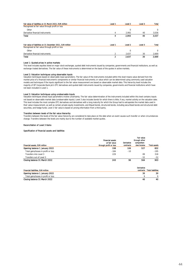| Fair value of liabilities on 31 March 2022, EUR million    | Level 1 | Level 2  | Level 3 | Total    |
|------------------------------------------------------------|---------|----------|---------|----------|
| Recognised at fair value through profit or loss            |         |          |         |          |
| Other                                                      |         | $\Omega$ |         | $\Omega$ |
| Derivative financial instruments                           | 4       | 2.992    | 40      | 3,036    |
| <b>Total</b>                                               | 4       | 2.993    | 40      | 3.037    |
| Fair value of liabilities on 31 December 2021, EUR million | Level 1 | Level 2  | Level 3 | Total    |
| Recognised at fair value through profit or loss            |         |          |         |          |
| Other                                                      |         | 0        |         | $\Omega$ |
| Derivative financial instruments                           | 2       | 2.637    | 30      | 2,669    |
| Total                                                      | 2       | 2.637    | 30      | 2.669    |

#### Level 1: Quoted prices in active markets

This level includes equities listed on major stock exchanges, quoted debt instruments issued by companies, governments and financial institutions, as well as exchange-traded derivatives. The fair value of these instruments is determined on the basis of the quotes in active markets.

**Level 2: Valuation techniques using observable inputs**<br>Valuation techniques based on observable input parameters. The fair value of the instruments included within this level means value derived from the market price of a financial instrument's components or similar financial instruments; or value which can be determined using commonly used valuation models and techniques if the inputs significant to the fair value measurement are based on observable market data. This hierarchy level includes the majority of OP Corporate Bank plc's OTC derivatives and quoted debt instruments issued by companies, governments and financial institutions which have not been included in Level 1.

#### Level 3: Valuation techniques using unobservable inputs

Valuation techniques whose input parameters involve uncertainty. The fair value determination of the instruments included within this level contains inputs not based on observable market data (unobservable inputs). Level 3 also includes bonds for which there is little, if any, market activity on the valuation date. This level includes the most complex OTC derivatives and derivatives with a long maturity for which the Group had to extrapolate the market data used in their value measurement, as well as certain private equity investments, and illiquid bonds, structured bonds, including securitised bonds and structured debt securities, and hedge funds. Level 3 fair value is based on pricing information from a third party.

#### Transfers between levels of the fair value hierarchy

Transfers between the levels of the fair value hierarchy are considered to take place on the date when an event causes such transfer or when circumstances change. Transfers between the levels are mainly due to the number of available market quotes.

#### Reconciliation of Level 3 items

#### Specification of financial assets and liabilities

|                                      | <b>Financial assets</b><br>at fair value | Derivative | Fair value<br>through other<br>comprehen- |                     |
|--------------------------------------|------------------------------------------|------------|-------------------------------------------|---------------------|
| Financial assets, EUR million        | through profit or loss                   | contracts  | sive income                               | <b>Total assets</b> |
| Opening balance 1 January 2022       | 198                                      | 106        | 527                                       | 832                 |
| Total gains/losses in profit or loss | $-184$                                   | $-10$      |                                           | $-195$              |
| Transfers into Level 3               | 229                                      |            | 89                                        | 318                 |
| Transfers out of Level 3             |                                          |            | $-52$                                     | $-52$               |
| Closing balance 31 March 2022        | 243                                      | 96         | 564                                       | 903                 |

|                                      | Derivative |                          |
|--------------------------------------|------------|--------------------------|
| Financial liabilities. EUR million   | contracts  | <b>Total liabilities</b> |
| Opening balance 1 January 2022       | 30         | 30                       |
| Total gains/losses in profit or loss |            |                          |
| Closing balance 31 March 2022        | 40         | 40                       |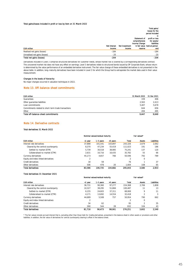#### Total gains/losses included in profit or loss by item on 31 March 2022

|                               |                     |                |                | Total gains.                  |
|-------------------------------|---------------------|----------------|----------------|-------------------------------|
|                               |                     |                |                | losses for the                |
|                               |                     |                |                | period included               |
|                               |                     |                |                | ir                            |
|                               |                     |                | Statement of   | profit or loss                |
|                               |                     |                | comprehensive  | for assets.                   |
|                               |                     |                | Income/ Change | liabilities                   |
|                               | <b>Net interest</b> | Net investment |                | in fair value held at period- |
| <b>EUR million</b>            | income              | income         | reserve        | enc                           |
| Realised net gains (losses)   | $-184$              |                |                | $-184$                        |
| Unrealised net gains (losses) | $-20$               |                |                | $-20$                         |
| Total net gains (losses)      | $-204$              |                |                | $-204$                        |

Derivatives included in Level 3 comprise structured derivatives for customer needs, whose market risk is covered by a corresponding derivatives contract. The uncovered market risk does not have any effect on earnings. Level 3 derivatives relate to structured bonds issued by OP Corporate Bank, whose return is determined by the value performance of an embedded derivative instrument. The fair value change of these embedded derivatives is not presented in the above table. In addition, long-maturity derivatives have been included in Level 3 for which the Group had to extrapolate the market data used in their value measurement.

#### Changes in the levels of hierarchy

No major changes occurred in valuation techniques in 2022.

#### Note 13. Off-balance-sheet commitments

| <b>EUR million</b>                                   | 31 March 2022 31 Dec 2021 |       |
|------------------------------------------------------|---------------------------|-------|
| Guarantees                                           | 339                       | 406   |
| Other guarantee liabilities                          | 2.563                     | 2.413 |
| Loan commitments                                     | 5.407                     | 5.678 |
| Commitments related to short-term trade transactions | 644                       | 656   |
| Other                                                | 494                       | 495   |
| Total off-balance-sheet commitments                  | 9.447                     | 9.649 |

#### Note 14. Derivative contracts

#### Total derivatives 31 March 2022

| <b>EUR million</b>                  | Nominal values/residual maturity |           |          | Fair values* |               |                    |
|-------------------------------------|----------------------------------|-----------|----------|--------------|---------------|--------------------|
|                                     | <1 year                          | 1-5 years | >5 years | Total        | <b>Assets</b> | <b>Liabilities</b> |
| Interest rate derivatives           | 37.888                           | 101.541   | 103.897  | 243.326      | 2.679         | 2.062              |
| Cleared by the central counterparty | 8.370                            | 47.234    | 55.419   | 111.023      | 191           | 186                |
| Settled-to-market (STM)             | 5.739                            | 30.518    | 38.985   | 75.241       | 137           | 120                |
| Collateralised-to-market (CTM)      | 2.631                            | 16.716    | 16.435   | 35.782       | 55            | 66                 |
| Currency derivatives                | 45.173                           | 4.657     | 766      | 50.596       | 792           | 789                |
| Equity and index-linked derivatives |                                  |           |          |              | $\Omega$      |                    |
| Credit derivatives                  | 18                               | 58        |          | 76           |               | 37                 |
| Other derivatives                   | 506                              | 478       | 20       | 1.004        | 108           | 65                 |
| <b>Total derivatives</b>            | 83.586                           | 106.735   | 104.682  | 295.003      | 3.580         | 2.953              |

#### Total derivatives 31 December 2021

| <b>EUR million</b>                  | Nominal values/residual maturity |           |          | Fair values* |               |             |
|-------------------------------------|----------------------------------|-----------|----------|--------------|---------------|-------------|
|                                     | <1 year                          | 1-5 years | >5 years | Total        | <b>Assets</b> | Liabilities |
| Interest rate derivatives           | 36.731                           | 90.360    | 97.277   | 224.368      | 2.706         | 1.808       |
| Cleared by the central counterparty | 10.327                           | 38.295    | 51.866   | 100.487      | 11            | 13          |
| Settled-to-market (STM)             | 6.155                            | 24.603    | 37.311   | 68.069       | 9             | 11          |
| Collateralised-to-market (CTM)      | 4.171                            | 13.692    | 14.554   | 32.418       |               | 3           |
| Currency derivatives                | 44.689                           | 5.508     | 757      | 50.954       | 790           | 662         |
| Equity and index-linked derivatives |                                  |           |          |              | $\Omega$      |             |
| Credit derivatives                  | 34                               | 62        |          | 95           |               | 35          |
| Other derivatives                   | 260                              | 544       | 28       | 832          | 104           | 43          |
| <b>Total derivatives</b>            | 81.716                           | 96.473    | 98.061   | 276.251      | 3.602         | 2.549       |

\* The fair values include accrued interest that is, excluding other than those held-for-trading derivatives, presented in the balance sheet in other assets or provisions and other liabilities. In addition, the fair value of derivatives for central counterparty clearing is offset in the balance sheet.